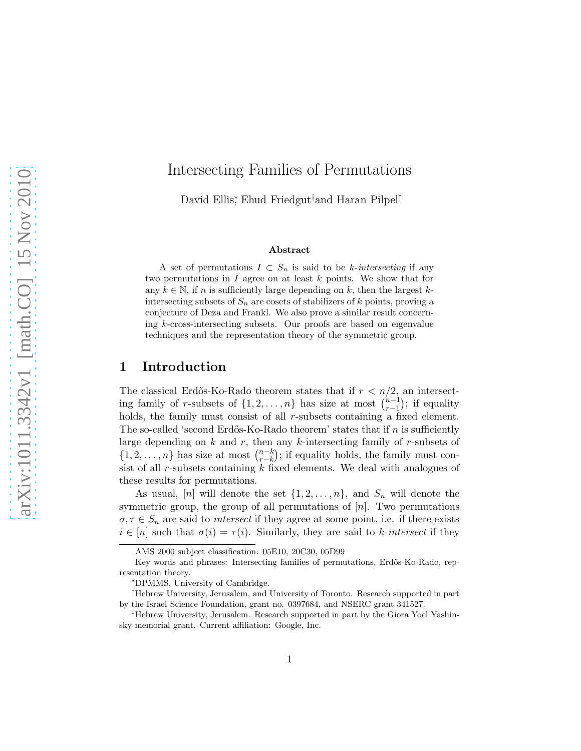# Intersecting Families of Permutations

David Ellis<sup>∗</sup> , Ehud Friedgut†and Haran Pilpel‡

#### Abstract

A set of permutations  $I \subset S_n$  is said to be k-intersecting if any two permutations in  $I$  agree on at least  $k$  points. We show that for any  $k \in \mathbb{N}$ , if n is sufficiently large depending on k, then the largest kintersecting subsets of  $S_n$  are cosets of stabilizers of k points, proving a conjecture of Deza and Frankl. We also prove a similar result concerning k-cross-intersecting subsets. Our proofs are based on eigenvalue techniques and the representation theory of the symmetric group.

# 1 Introduction

The classical Erdős-Ko-Rado theorem states that if  $r < n/2$ , an intersecting family of r-subsets of  $\{1, 2, \ldots, n\}$  has size at most  $\binom{n-1}{r-1}$  $_{r-1}^{n-1}$ ); if equality holds, the family must consist of all r-subsets containing a fixed element. The so-called 'second Erdős-Ko-Rado theorem' states that if  $n$  is sufficiently large depending on  $k$  and  $r$ , then any  $k$ -intersecting family of  $r$ -subsets of  $\{1, 2, \ldots, n\}$  has size at most  $\binom{n-k}{r-k}$  $_{r-k}^{n-k}$ ; if equality holds, the family must consist of all  $r$ -subsets containing  $k$  fixed elements. We deal with analogues of these results for permutations.

As usual, [n] will denote the set  $\{1, 2, \ldots, n\}$ , and  $S_n$  will denote the symmetric group, the group of all permutations of  $[n]$ . Two permutations  $\sigma, \tau \in S_n$  are said to *intersect* if they agree at some point, i.e. if there exists  $i \in [n]$  such that  $\sigma(i) = \tau(i)$ . Similarly, they are said to k-intersect if they

AMS 2000 subject classification: 05E10, 20C30, 05D99

Key words and phrases: Intersecting families of permutations, Erdős-Ko-Rado, representation theory.

<sup>∗</sup>DPMMS, University of Cambridge.

<sup>†</sup>Hebrew University, Jerusalem, and University of Toronto. Research supported in part by the Israel Science Foundation, grant no. 0397684, and NSERC grant 341527.

<sup>‡</sup>Hebrew University, Jerusalem. Research supported in part by the Giora Yoel Yashinsky memorial grant. Current affiliation: Google, Inc.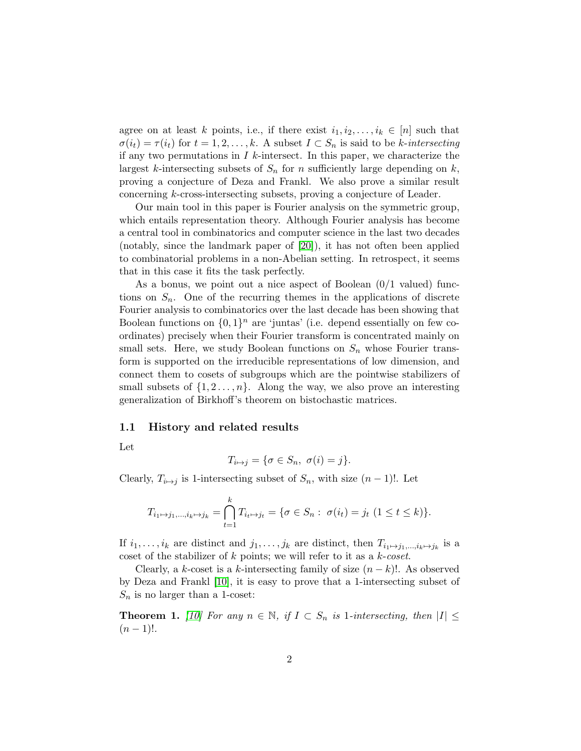agree on at least k points, i.e., if there exist  $i_1, i_2, \ldots, i_k \in [n]$  such that  $\sigma(i_t) = \tau(i_t)$  for  $t = 1, 2, ..., k$ . A subset  $I \subset S_n$  is said to be k-intersecting if any two permutations in  $I$  k-intersect. In this paper, we characterize the largest k-intersecting subsets of  $S_n$  for n sufficiently large depending on k, proving a conjecture of Deza and Frankl. We also prove a similar result concerning k-cross-intersecting subsets, proving a conjecture of Leader.

Our main tool in this paper is Fourier analysis on the symmetric group, which entails representation theory. Although Fourier analysis has become a central tool in combinatorics and computer science in the last two decades (notably, since the landmark paper of [\[20\]](#page-45-0)), it has not often been applied to combinatorial problems in a non-Abelian setting. In retrospect, it seems that in this case it fits the task perfectly.

As a bonus, we point out a nice aspect of Boolean  $(0/1 \text{ valued})$  functions on  $S_n$ . One of the recurring themes in the applications of discrete Fourier analysis to combinatorics over the last decade has been showing that Boolean functions on  $\{0,1\}^n$  are 'juntas' (i.e. depend essentially on few coordinates) precisely when their Fourier transform is concentrated mainly on small sets. Here, we study Boolean functions on  $S_n$  whose Fourier transform is supported on the irreducible representations of low dimension, and connect them to cosets of subgroups which are the pointwise stabilizers of small subsets of  $\{1, 2, \ldots, n\}$ . Along the way, we also prove an interesting generalization of Birkhoff's theorem on bistochastic matrices.

#### <span id="page-1-1"></span>1.1 History and related results

Let

$$
T_{i\mapsto j} = \{\sigma \in S_n, \ \sigma(i) = j\}.
$$

Clearly,  $T_{i\mapsto j}$  is 1-intersecting subset of  $S_n$ , with size  $(n-1)!$ . Let

$$
T_{i_1 \mapsto j_1, \dots, i_k \mapsto j_k} = \bigcap_{t=1}^k T_{i_t \mapsto j_t} = \{ \sigma \in S_n : \ \sigma(i_t) = j_t \ (1 \le t \le k) \}.
$$

If  $i_1, \ldots, i_k$  are distinct and  $j_1, \ldots, j_k$  are distinct, then  $T_{i_1 \mapsto j_1, \ldots, i_k \mapsto j_k}$  is a coset of the stabilizer of  $k$  points; we will refer to it as a  $k\text{-}coset$ .

Clearly, a k-coset is a k-intersecting family of size  $(n - k)!$ . As observed by Deza and Frankl [\[10\]](#page-44-0), it is easy to prove that a 1-intersecting subset of  $S_n$  is no larger than a 1-coset:

<span id="page-1-0"></span>**Theorem 1.** [\[10\]](#page-44-0) For any  $n \in \mathbb{N}$ , if  $I \subset S_n$  is 1-intersecting, then  $|I| \leq$  $(n-1)!$ .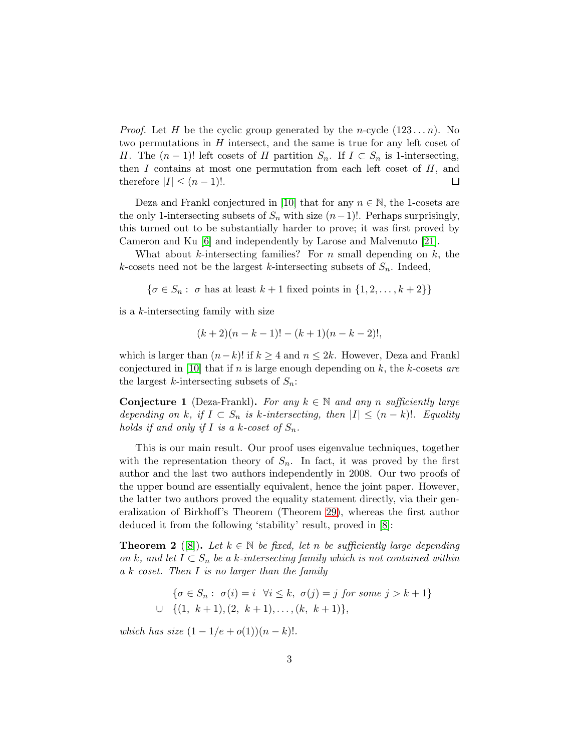*Proof.* Let H be the cyclic group generated by the *n*-cycle  $(123...n)$ . No two permutations in H intersect, and the same is true for any left coset of H. The  $(n-1)!$  left cosets of H partition  $S_n$ . If  $I \subset S_n$  is 1-intersecting, then  $I$  contains at most one permutation from each left coset of  $H$ , and therefore  $|I| \leq (n-1)!$ .  $\Box$ 

Deza and Frankl conjectured in [\[10\]](#page-44-0) that for any  $n \in \mathbb{N}$ , the 1-cosets are the only 1-intersecting subsets of  $S_n$  with size  $(n-1)!$ . Perhaps surprisingly, this turned out to be substantially harder to prove; it was first proved by Cameron and Ku [\[6\]](#page-44-1) and independently by Larose and Malvenuto [\[21\]](#page-45-1).

What about k-intersecting families? For  $n$  small depending on  $k$ , the k-cosets need not be the largest k-intersecting subsets of  $S_n$ . Indeed,

 $\{\sigma \in S_n: \sigma \text{ has at least } k+1 \text{ fixed points in } \{1, 2, \ldots, k+2\}\}\$ 

is a k-intersecting family with size

$$
(k+2)(n-k-1)! - (k+1)(n-k-2)!,
$$

which is larger than  $(n-k)!$  if  $k \geq 4$  and  $n \leq 2k$ . However, Deza and Frankl conjectured in [\[10\]](#page-44-0) that if n is large enough depending on k, the k-cosets are the largest k-intersecting subsets of  $S_n$ :

<span id="page-2-0"></span>**Conjecture 1** (Deza-Frankl). For any  $k \in \mathbb{N}$  and any n sufficiently large depending on k, if  $I \subset S_n$  is k-intersecting, then  $|I| \leq (n-k)!$ . Equality holds if and only if I is a k-coset of  $S_n$ .

This is our main result. Our proof uses eigenvalue techniques, together with the representation theory of  $S_n$ . In fact, it was proved by the first author and the last two authors independently in 2008. Our two proofs of the upper bound are essentially equivalent, hence the joint paper. However, the latter two authors proved the equality statement directly, via their generalization of Birkhoff's Theorem (Theorem [29\)](#page-41-0), whereas the first author deduced it from the following 'stability' result, proved in [\[8\]](#page-44-2):

**Theorem 2** ([\[8\]](#page-44-2)). Let  $k \in \mathbb{N}$  be fixed, let n be sufficiently large depending on k, and let  $I \subset S_n$  be a k-intersecting family which is not contained within a k coset. Then I is no larger than the family

$$
\{\sigma \in S_n : \ \sigma(i) = i \ \forall i \le k, \ \sigma(j) = j \ \text{for some} \ j > k+1\}
$$
  

$$
\cup \ \{(1, \ k+1), (2, \ k+1), \dots, (k, \ k+1)\},\
$$

which has size  $(1 - 1/e + o(1))(n - k)!$ .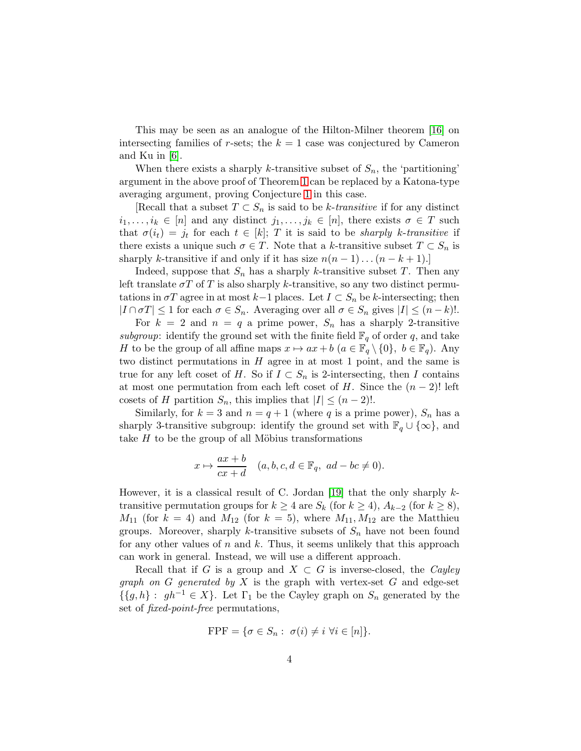This may be seen as an analogue of the Hilton-Milner theorem [\[16\]](#page-45-2) on intersecting families of r-sets; the  $k = 1$  case was conjectured by Cameron and Ku in [\[6\]](#page-44-1).

When there exists a sharply k-transitive subset of  $S_n$ , the 'partitioning' argument in the above proof of Theorem [1](#page-1-0) can be replaced by a Katona-type averaging argument, proving Conjecture [1](#page-2-0) in this case.

[Recall that a subset  $T \subset S_n$  is said to be k-transitive if for any distinct  $i_1, \ldots, i_k \in [n]$  and any distinct  $j_1, \ldots, j_k \in [n]$ , there exists  $\sigma \in T$  such that  $\sigma(i_t) = j_t$  for each  $t \in [k]$ ; T it is said to be *sharply k-transitive* if there exists a unique such  $\sigma \in T$ . Note that a k-transitive subset  $T \subset S_n$  is sharply k-transitive if and only if it has size  $n(n-1)...(n-k+1).$ 

Indeed, suppose that  $S_n$  has a sharply k-transitive subset T. Then any left translate  $\sigma T$  of T is also sharply k-transitive, so any two distinct permutations in  $\sigma T$  agree in at most  $k-1$  places. Let  $I \subset S_n$  be k-intersecting; then  $|I \cap \sigma T| \leq 1$  for each  $\sigma \in S_n$ . Averaging over all  $\sigma \in S_n$  gives  $|I| \leq (n-k)!$ .

For  $k = 2$  and  $n = q$  a prime power,  $S_n$  has a sharply 2-transitive subgroup: identify the ground set with the finite field  $\mathbb{F}_q$  of order q, and take H to be the group of all affine maps  $x \mapsto ax + b$   $(a \in \mathbb{F}_q \setminus \{0\}, b \in \mathbb{F}_q)$ . Any two distinct permutations in  $H$  agree in at most 1 point, and the same is true for any left coset of H. So if  $I \subset S_n$  is 2-intersecting, then I contains at most one permutation from each left coset of H. Since the  $(n-2)!$  left cosets of H partition  $S_n$ , this implies that  $|I| \leq (n-2)!$ .

Similarly, for  $k = 3$  and  $n = q + 1$  (where q is a prime power),  $S_n$  has a sharply 3-transitive subgroup: identify the ground set with  $\mathbb{F}_q \cup \{\infty\}$ , and take  $H$  to be the group of all Möbius transformations

$$
x \mapsto \frac{ax+b}{cx+d} \quad (a,b,c,d \in \mathbb{F}_q, \ ad-bc \neq 0).
$$

However, it is a classical result of C. Jordan [\[19\]](#page-45-3) that the only sharply  $k$ transitive permutation groups for  $k \geq 4$  are  $S_k$  (for  $k \geq 4$ ),  $A_{k-2}$  (for  $k \geq 8$ ),  $M_{11}$  (for  $k = 4$ ) and  $M_{12}$  (for  $k = 5$ ), where  $M_{11}, M_{12}$  are the Matthieu groups. Moreover, sharply k-transitive subsets of  $S_n$  have not been found for any other values of  $n$  and  $k$ . Thus, it seems unlikely that this approach can work in general. Instead, we will use a different approach.

Recall that if G is a group and  $X \subset G$  is inverse-closed, the Cayley graph on  $G$  generated by  $X$  is the graph with vertex-set  $G$  and edge-set  $\{\{g, h\} : gh^{-1} \in X\}$ . Let  $\Gamma_1$  be the Cayley graph on  $S_n$  generated by the set of fixed-point-free permutations,

$$
FPF = \{ \sigma \in S_n : \sigma(i) \neq i \,\,\forall i \in [n] \}.
$$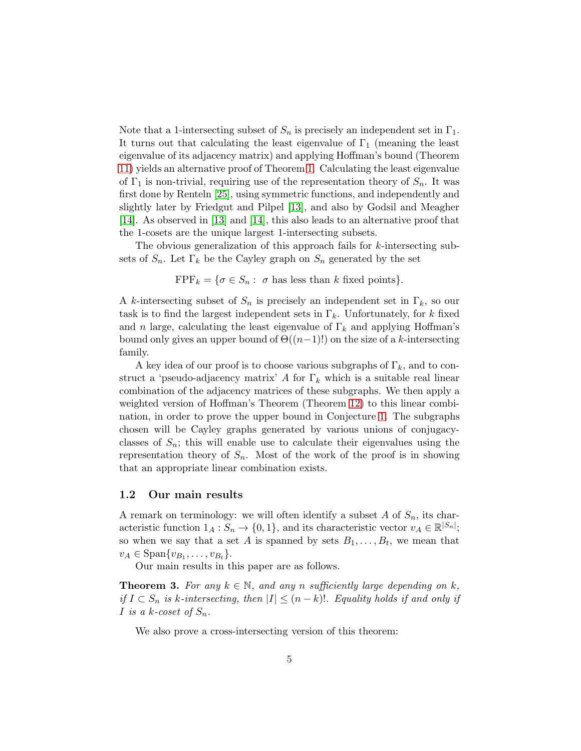Note that a 1-intersecting subset of  $S_n$  is precisely an independent set in  $\Gamma_1$ . It turns out that calculating the least eigenvalue of  $\Gamma_1$  (meaning the least eigenvalue of its adjacency matrix) and applying Hoffman's bound (Theorem [11\)](#page-11-0) yields an alternative proof of Theorem [1.](#page-1-0) Calculating the least eigenvalue of  $\Gamma_1$  is non-trivial, requiring use of the representation theory of  $S_n$ . It was first done by Renteln [\[25\]](#page-46-0), using symmetric functions, and independently and slightly later by Friedgut and Pilpel [\[13\]](#page-45-4), and also by Godsil and Meagher [\[14\]](#page-45-5). As observed in [\[13\]](#page-45-4) and [\[14\]](#page-45-5), this also leads to an alternative proof that the 1-cosets are the unique largest 1-intersecting subsets.

The obvious generalization of this approach fails for k-intersecting subsets of  $S_n$ . Let  $\Gamma_k$  be the Cayley graph on  $S_n$  generated by the set

 $\text{FPF}_k = \{\sigma \in S_n : \sigma \text{ has less than } k \text{ fixed points}\}.$ 

A k-intersecting subset of  $S_n$  is precisely an independent set in  $\Gamma_k$ , so our task is to find the largest independent sets in  $\Gamma_k$ . Unfortunately, for k fixed and n large, calculating the least eigenvalue of  $\Gamma_k$  and applying Hoffman's bound only gives an upper bound of  $\Theta((n-1)!)$  on the size of a k-intersecting family.

A key idea of our proof is to choose various subgraphs of  $\Gamma_k$ , and to construct a 'pseudo-adjacency matrix' A for  $\Gamma_k$  which is a suitable real linear combination of the adjacency matrices of these subgraphs. We then apply a weighted version of Hoffman's Theorem (Theorem [12\)](#page-12-0) to this linear combination, in order to prove the upper bound in Conjecture [1.](#page-2-0) The subgraphs chosen will be Cayley graphs generated by various unions of conjugacyclasses of  $S_n$ ; this will enable use to calculate their eigenvalues using the representation theory of  $S_n$ . Most of the work of the proof is in showing that an appropriate linear combination exists.

#### 1.2 Our main results

A remark on terminology: we will often identify a subset  $A$  of  $S_n$ , its characteristic function  $1_A : S_n \to \{0, 1\}$ , and its characteristic vector  $v_A \in \mathbb{R}^{|S_n|}$ ; so when we say that a set A is spanned by sets  $B_1, \ldots, B_t$ , we mean that  $v_A \in \text{Span}\{v_{B_1}, \ldots, v_{B_t}\}.$ 

Our main results in this paper are as follows.

<span id="page-4-0"></span>**Theorem 3.** For any  $k \in \mathbb{N}$ , and any n sufficiently large depending on k, if  $I ⊂ S_n$  is k-intersecting, then  $|I| ≤ (n-k)!$ . Equality holds if and only if I is a k-coset of  $S_n$ .

We also prove a cross-intersecting version of this theorem: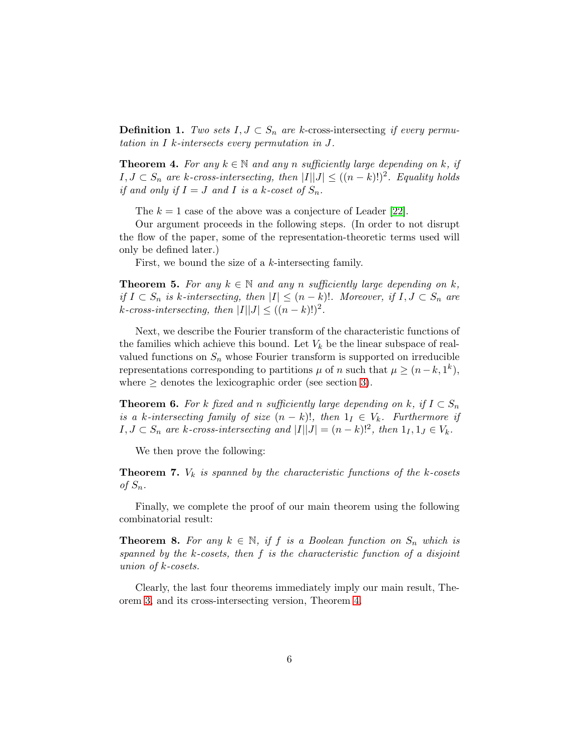**Definition 1.** Two sets  $I, J \subset S_n$  are k-cross-intersecting if every permutation in I k-intersects every permutation in J.

<span id="page-5-0"></span>**Theorem 4.** For any  $k \in \mathbb{N}$  and any n sufficiently large depending on k, if  $I, J \subset S_n$  are k-cross-intersecting, then  $|I||J| \leq ((n-k)!)^2$ . Equality holds if and only if  $I = J$  and I is a k-coset of  $S_n$ .

The  $k = 1$  case of the above was a conjecture of Leader [\[22\]](#page-45-6).

Our argument proceeds in the following steps. (In order to not disrupt the flow of the paper, some of the representation-theoretic terms used will only be defined later.)

First, we bound the size of a k-intersecting family.

<span id="page-5-3"></span>**Theorem 5.** For any  $k \in \mathbb{N}$  and any n sufficiently large depending on k, if  $I \subset S_n$  is k-intersecting, then  $|I| \leq (n-k)!$ . Moreover, if  $I, J \subset S_n$  are k-cross-intersecting, then  $|I||J| \leq ((n-k)!)^2$ .

Next, we describe the Fourier transform of the characteristic functions of the families which achieve this bound. Let  $V_k$  be the linear subspace of realvalued functions on  $S_n$  whose Fourier transform is supported on irreducible representations corresponding to partitions  $\mu$  of n such that  $\mu \ge (n-k, 1^k)$ , where  $\geq$  denotes the lexicographic order (see section [3\)](#page-15-0).

<span id="page-5-4"></span>**Theorem 6.** For k fixed and n sufficiently large depending on k, if  $I \subset S_n$ is a k-intersecting family of size  $(n - k)!$ , then  $1<sub>I</sub> \in V<sub>k</sub>$ . Furthermore if  $I, J \subset S_n$  are k-cross-intersecting and  $|I||J| = (n - k)!^2$ , then  $1_I, 1_J \in V_k$ .

We then prove the following:

<span id="page-5-1"></span>**Theorem 7.**  $V_k$  is spanned by the characteristic functions of the k-cosets of  $S_n$ .

Finally, we complete the proof of our main theorem using the following combinatorial result:

<span id="page-5-2"></span>**Theorem 8.** For any  $k \in \mathbb{N}$ , if f is a Boolean function on  $S_n$  which is spanned by the k-cosets, then f is the characteristic function of a disjoint union of k-cosets.

Clearly, the last four theorems immediately imply our main result, Theorem [3,](#page-4-0) and its cross-intersecting version, Theorem [4.](#page-5-0)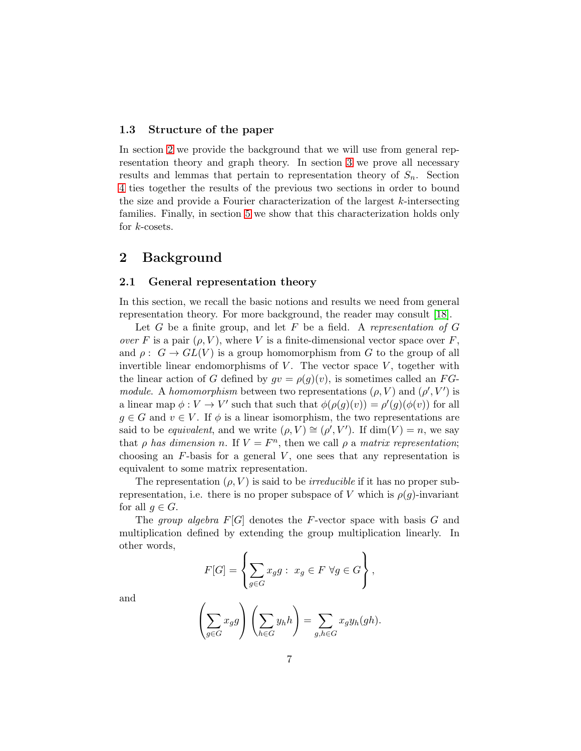### 1.3 Structure of the paper

In section [2](#page-6-0) we provide the background that we will use from general representation theory and graph theory. In section [3](#page-15-0) we prove all necessary results and lemmas that pertain to representation theory of  $S_n$ . Section [4](#page-26-0) ties together the results of the previous two sections in order to bound the size and provide a Fourier characterization of the largest  $k$ -intersecting families. Finally, in section [5](#page-38-0) we show that this characterization holds only for  $k$ -cosets.

# <span id="page-6-0"></span>2 Background

#### 2.1 General representation theory

In this section, we recall the basic notions and results we need from general representation theory. For more background, the reader may consult [\[18\]](#page-45-7).

Let  $G$  be a finite group, and let  $F$  be a field. A representation of  $G$ over F is a pair  $(\rho, V)$ , where V is a finite-dimensional vector space over F, and  $\rho: G \to GL(V)$  is a group homomorphism from G to the group of all invertible linear endomorphisms of  $V$ . The vector space  $V$ , together with the linear action of G defined by  $gv = \rho(g)(v)$ , is sometimes called an FGmodule. A homomorphism between two representations  $(\rho, V)$  and  $(\rho', V')$  is a linear map  $\phi: V \to V'$  such that such that  $\phi(\rho(g)(v)) = \rho'(g)(\phi(v))$  for all  $g \in G$  and  $v \in V$ . If  $\phi$  is a linear isomorphism, the two representations are said to be *equivalent*, and we write  $(\rho, V) \cong (\rho', V')$ . If  $\dim(V) = n$ , we say that  $\rho$  has dimension n. If  $V = F<sup>n</sup>$ , then we call  $\rho$  a matrix representation; choosing an  $F$ -basis for a general  $V$ , one sees that any representation is equivalent to some matrix representation.

The representation  $(\rho, V)$  is said to be *irreducible* if it has no proper subrepresentation, i.e. there is no proper subspace of V which is  $\rho(g)$ -invariant for all  $q \in G$ .

The group algebra  $F[G]$  denotes the F-vector space with basis G and multiplication defined by extending the group multiplication linearly. In other words,

$$
F[G] = \left\{ \sum_{g \in G} x_g g : x_g \in F \; \forall g \in G \right\},\
$$

and

$$
\left(\sum_{g\in G}x_gg\right)\left(\sum_{h\in G}y_hh\right)=\sum_{g,h\in G}x_gy_h(gh).
$$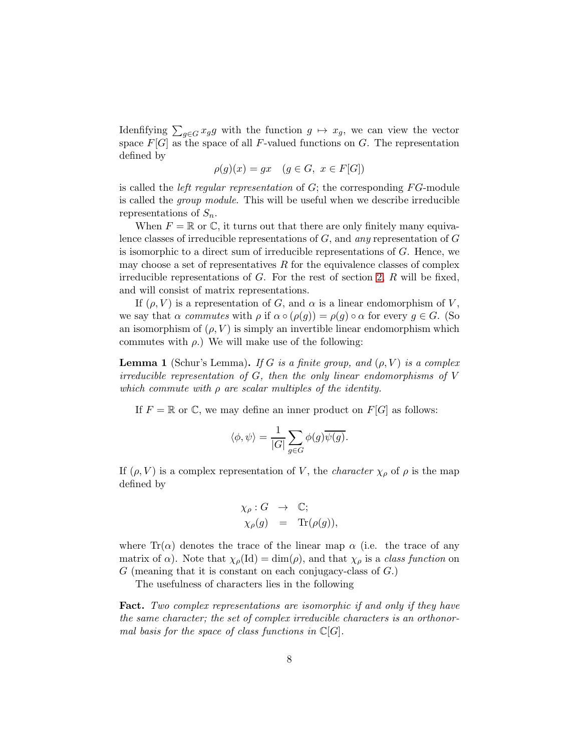Idenfifying  $\sum_{g \in G} x_g g$  with the function  $g \mapsto x_g$ , we can view the vector space  $F[G]$  as the space of all F-valued functions on G. The representation defined by

$$
\rho(g)(x) = gx \quad (g \in G, \ x \in F[G])
$$

is called the *left regular representation* of  $G$ ; the corresponding  $FG$ -module is called the group module. This will be useful when we describe irreducible representations of  $S_n$ .

When  $F = \mathbb{R}$  or  $\mathbb{C}$ , it turns out that there are only finitely many equivalence classes of irreducible representations of  $G$ , and any representation of  $G$ is isomorphic to a direct sum of irreducible representations of  $G$ . Hence, we may choose a set of representatives  $R$  for the equivalence classes of complex irreducible representations of  $G$ . For the rest of section [2,](#page-6-0)  $R$  will be fixed, and will consist of matrix representations.

If  $(\rho, V)$  is a representation of G, and  $\alpha$  is a linear endomorphism of V, we say that  $\alpha$  commutes with  $\rho$  if  $\alpha \circ (\rho(g)) = \rho(g) \circ \alpha$  for every  $g \in G$ . (So an isomorphism of  $(\rho, V)$  is simply an invertible linear endomorphism which commutes with  $\rho$ .) We will make use of the following:

**Lemma 1** (Schur's Lemma). If G is a finite group, and  $(\rho, V)$  is a complex irreducible representation of G, then the only linear endomorphisms of V which commute with  $\rho$  are scalar multiples of the identity.

If  $F = \mathbb{R}$  or  $\mathbb{C}$ , we may define an inner product on  $F[G]$  as follows:

$$
\langle \phi, \psi \rangle = \frac{1}{|G|} \sum_{g \in G} \phi(g) \overline{\psi(g)}.
$$

If  $(\rho, V)$  is a complex representation of V, the *character*  $\chi_{\rho}$  of  $\rho$  is the map defined by

$$
\chi_{\rho}: G \rightarrow \mathbb{C};
$$
  

$$
\chi_{\rho}(g) = \text{Tr}(\rho(g)),
$$

where  $\text{Tr}(\alpha)$  denotes the trace of the linear map  $\alpha$  (i.e. the trace of any matrix of  $\alpha$ ). Note that  $\chi_{\rho}(\text{Id}) = \dim(\rho)$ , and that  $\chi_{\rho}$  is a *class function* on  $G$  (meaning that it is constant on each conjugacy-class of  $G$ .)

The usefulness of characters lies in the following

Fact. Two complex representations are isomorphic if and only if they have the same character; the set of complex irreducible characters is an orthonormal basis for the space of class functions in  $\mathbb{C}[G]$ .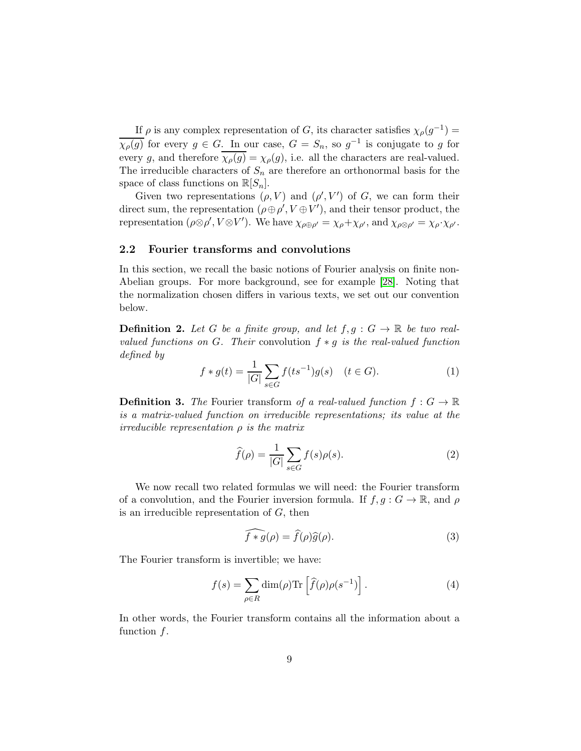If  $\rho$  is any complex representation of G, its character satisfies  $\chi_{\rho}(g^{-1}) =$  $\overline{\chi_{\rho}(g)}$  for every  $g \in G$ . In our case,  $G = S_n$ , so  $g^{-1}$  is conjugate to g for every g, and therefore  $\chi_{\rho}(g) = \chi_{\rho}(g)$ , i.e. all the characters are real-valued. The irreducible characters of  $S_n$  are therefore an orthonormal basis for the space of class functions on  $\mathbb{R}[S_n]$ .

Given two representations  $(\rho, V)$  and  $(\rho', V')$  of G, we can form their direct sum, the representation  $(\rho \oplus \rho', V \oplus V')$ , and their tensor product, the representation  $(\rho \otimes \rho', V \otimes V')$ . We have  $\chi_{\rho \oplus \rho'} = \chi_{\rho} + \chi_{\rho'}$ , and  $\chi_{\rho \otimes \rho'} = \chi_{\rho} \cdot \chi_{\rho'}$ .

## 2.2 Fourier transforms and convolutions

In this section, we recall the basic notions of Fourier analysis on finite non-Abelian groups. For more background, see for example [\[28\]](#page-46-1). Noting that the normalization chosen differs in various texts, we set out our convention below.

**Definition 2.** Let G be a finite group, and let  $f, g : G \to \mathbb{R}$  be two realvalued functions on G. Their convolution  $f * q$  is the real-valued function defined by

$$
f * g(t) = \frac{1}{|G|} \sum_{s \in G} f(ts^{-1})g(s) \quad (t \in G).
$$
 (1)

**Definition 3.** The Fourier transform of a real-valued function  $f: G \to \mathbb{R}$ is a matrix-valued function on irreducible representations; its value at the irreducible representation  $\rho$  is the matrix

$$
\widehat{f}(\rho) = \frac{1}{|G|} \sum_{s \in G} f(s)\rho(s).
$$
\n(2)

We now recall two related formulas we will need: the Fourier transform of a convolution, and the Fourier inversion formula. If  $f, g : G \to \mathbb{R}$ , and  $\rho$ is an irreducible representation of  $G$ , then

$$
\widehat{f \ast g}(\rho) = \widehat{f}(\rho)\widehat{g}(\rho). \tag{3}
$$

The Fourier transform is invertible; we have:

$$
f(s) = \sum_{\rho \in R} \dim(\rho) \text{Tr} \left[ \widehat{f}(\rho) \rho(s^{-1}) \right]. \tag{4}
$$

In other words, the Fourier transform contains all the information about a function  $f$ .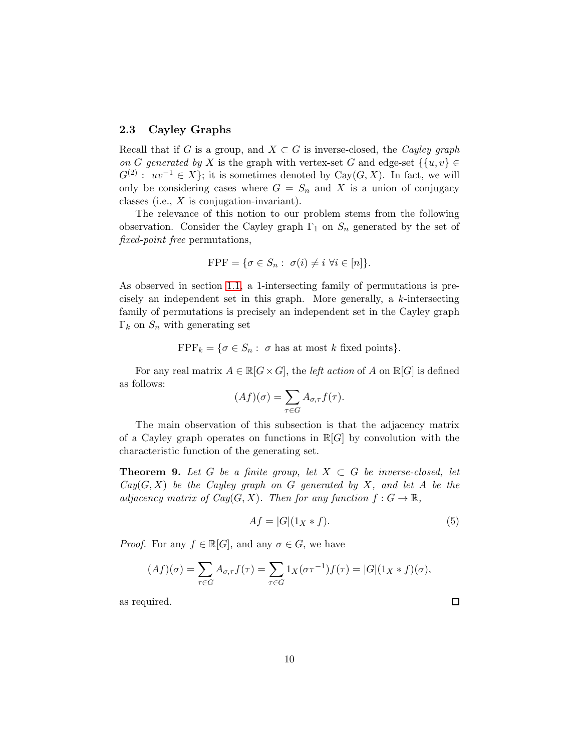## <span id="page-9-1"></span>2.3 Cayley Graphs

Recall that if G is a group, and  $X \subset G$  is inverse-closed, the Cayley graph on G generated by X is the graph with vertex-set G and edge-set  $\{u, v\} \in$  $G^{(2)}: uv^{-1} \in X$ ; it is sometimes denoted by Cay $(G, X)$ . In fact, we will only be considering cases where  $G = S_n$  and X is a union of conjugacy classes (i.e., X is conjugation-invariant).

The relevance of this notion to our problem stems from the following observation. Consider the Cayley graph  $\Gamma_1$  on  $S_n$  generated by the set of fixed-point free permutations,

$$
FPF = \{ \sigma \in S_n : \sigma(i) \neq i \,\,\forall i \in [n] \}.
$$

As observed in section [1.1,](#page-1-1) a 1-intersecting family of permutations is precisely an independent set in this graph. More generally, a k-intersecting family of permutations is precisely an independent set in the Cayley graph  $\Gamma_k$  on  $S_n$  with generating set

 $\text{FPF}_k = \{ \sigma \in S_n : \sigma \text{ has at most } k \text{ fixed points} \}.$ 

For any real matrix  $A \in \mathbb{R}[G \times G]$ , the *left action* of A on  $\mathbb{R}[G]$  is defined as follows:

$$
(Af)(\sigma) = \sum_{\tau \in G} A_{\sigma,\tau} f(\tau).
$$

The main observation of this subsection is that the adjacency matrix of a Cayley graph operates on functions in  $\mathbb{R}[G]$  by convolution with the characteristic function of the generating set.

**Theorem 9.** Let G be a finite group, let  $X \subset G$  be inverse-closed, let  $Cay(G, X)$  be the Cayley graph on G generated by X, and let A be the adjacency matrix of  $Cay(G, X)$ . Then for any function  $f: G \to \mathbb{R}$ ,

<span id="page-9-0"></span>
$$
Af = |G|(1_X * f). \tag{5}
$$

 $\Box$ 

*Proof.* For any  $f \in \mathbb{R}[G]$ , and any  $\sigma \in G$ , we have

$$
(Af)(\sigma) = \sum_{\tau \in G} A_{\sigma,\tau} f(\tau) = \sum_{\tau \in G} 1_X(\sigma \tau^{-1}) f(\tau) = |G|(1_X * f)(\sigma),
$$

as required.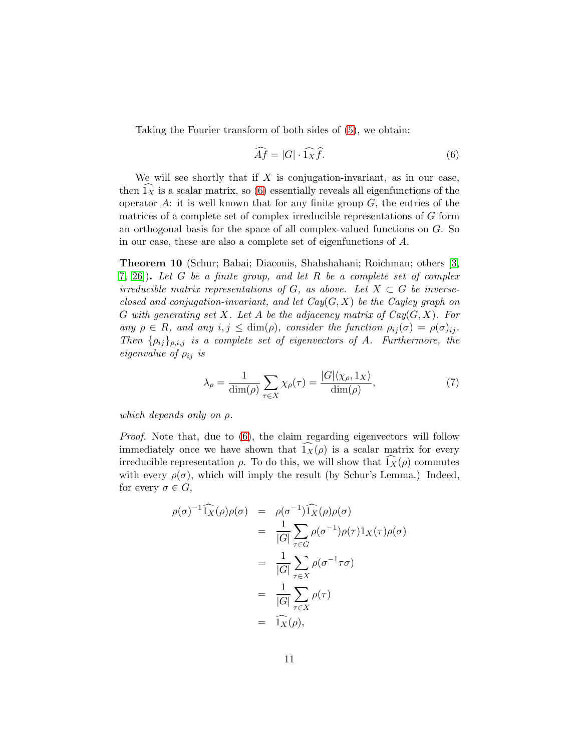Taking the Fourier transform of both sides of [\(5\)](#page-9-0), we obtain:

<span id="page-10-0"></span>
$$
\widehat{Af} = |G| \cdot \widehat{1_X} \widehat{f}.\tag{6}
$$

We will see shortly that if  $X$  is conjugation-invariant, as in our case, then  $1_x$  is a scalar matrix, so [\(6\)](#page-10-0) essentially reveals all eigenfunctions of the operator  $A$ : it is well known that for any finite group  $G$ , the entries of the matrices of a complete set of complex irreducible representations of G form an orthogonal basis for the space of all complex-valued functions on G. So in our case, these are also a complete set of eigenfunctions of A.

<span id="page-10-1"></span>Theorem 10 (Schur; Babai; Diaconis, Shahshahani; Roichman; others [\[3,](#page-44-3) [7,](#page-44-4) [26\]](#page-46-2)). Let G be a finite group, and let R be a complete set of complex irreducible matrix representations of G, as above. Let  $X \subset G$  be inverseclosed and conjugation-invariant, and let  $Cay(G, X)$  be the Cayley graph on G with generating set X. Let A be the adjacency matrix of  $Cay(G, X)$ . For any  $\rho \in R$ , and any  $i, j \leq \dim(\rho)$ , consider the function  $\rho_{ij}(\sigma) = \rho(\sigma)_{ij}$ . Then  $\{\rho_{ij}\}_{\rho,i,j}$  is a complete set of eigenvectors of A. Furthermore, the eigenvalue of  $\rho_{ij}$  is

<span id="page-10-2"></span>
$$
\lambda_{\rho} = \frac{1}{\dim(\rho)} \sum_{\tau \in X} \chi_{\rho}(\tau) = \frac{|G| \langle \chi_{\rho}, 1_X \rangle}{\dim(\rho)},\tag{7}
$$

which depends only on  $\rho$ .

Proof. Note that, due to [\(6\)](#page-10-0), the claim regarding eigenvectors will follow immediately once we have shown that  $\widehat{1_X}(\rho)$  is a scalar matrix for every irreducible representation  $\rho$ . To do this, we will show that  $1_X(\rho)$  commutes with every  $\rho(\sigma)$ , which will imply the result (by Schur's Lemma.) Indeed, for every  $\sigma \in G$ ,

$$
\rho(\sigma)^{-1} \widehat{1_X}(\rho) \rho(\sigma) = \rho(\sigma^{-1}) \widehat{1_X}(\rho) \rho(\sigma)
$$
  
\n
$$
= \frac{1}{|G|} \sum_{\tau \in G} \rho(\sigma^{-1}) \rho(\tau) 1_X(\tau) \rho(\sigma)
$$
  
\n
$$
= \frac{1}{|G|} \sum_{\tau \in X} \rho(\sigma^{-1} \tau \sigma)
$$
  
\n
$$
= \frac{1}{|G|} \sum_{\tau \in X} \rho(\tau)
$$
  
\n
$$
= \widehat{1_X}(\rho),
$$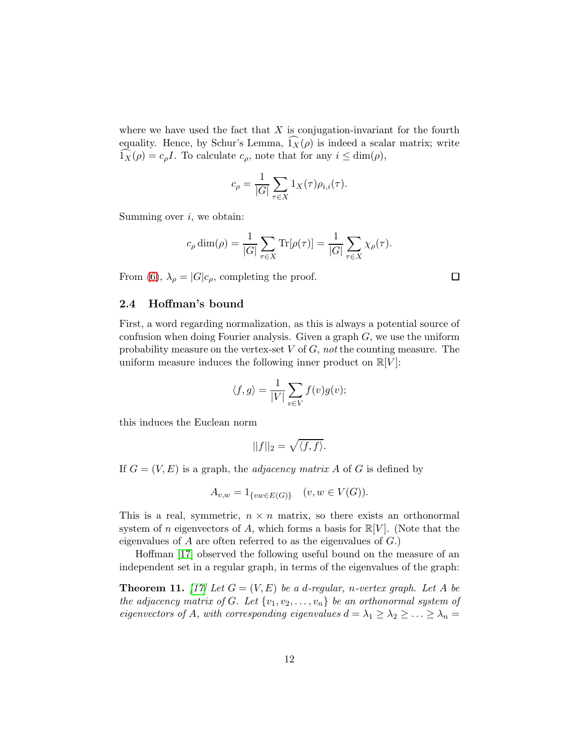where we have used the fact that  $X$  is conjugation-invariant for the fourth equality. Hence, by Schur's Lemma,  $1_X(\rho)$  is indeed a scalar matrix; write  $1_X(\rho) = c_\rho I$ . To calculate  $c_\rho$ , note that for any  $i \leq \dim(\rho)$ ,

$$
c_{\rho} = \frac{1}{|G|} \sum_{\tau \in X} 1_X(\tau) \rho_{i,i}(\tau).
$$

Summing over  $i$ , we obtain:

$$
c_{\rho} \dim(\rho) = \frac{1}{|G|} \sum_{\tau \in X} \text{Tr}[\rho(\tau)] = \frac{1}{|G|} \sum_{\tau \in X} \chi_{\rho}(\tau).
$$

From [\(6\)](#page-10-0),  $\lambda_{\rho} = |G| c_{\rho}$ , completing the proof.

#### 2.4 Hoffman's bound

First, a word regarding normalization, as this is always a potential source of confusion when doing Fourier analysis. Given a graph  $G$ , we use the uniform probability measure on the vertex-set  $V$  of  $G$ , not the counting measure. The uniform measure induces the following inner product on  $\mathbb{R}[V]$ :

$$
\langle f, g \rangle = \frac{1}{|V|} \sum_{v \in V} f(v)g(v);
$$

this induces the Euclean norm

$$
||f||_2 = \sqrt{\langle f, f \rangle}.
$$

If  $G = (V, E)$  is a graph, the *adjacency matrix A* of G is defined by

$$
A_{v,w} = 1_{\{vw \in E(G)\}} \quad (v, w \in V(G)).
$$

This is a real, symmetric,  $n \times n$  matrix, so there exists an orthonormal system of n eigenvectors of A, which forms a basis for  $\mathbb{R}[V]$ . (Note that the eigenvalues of  $A$  are often referred to as the eigenvalues of  $G$ .)

Hoffman [\[17\]](#page-45-8) observed the following useful bound on the measure of an independent set in a regular graph, in terms of the eigenvalues of the graph:

<span id="page-11-0"></span>**Theorem 11.** [\[17\]](#page-45-8) Let  $G = (V, E)$  be a d-regular, n-vertex graph. Let A be the adjacency matrix of G. Let  $\{v_1, v_2, \ldots, v_n\}$  be an orthonormal system of eigenvectors of A, with corresponding eigenvalues  $d = \lambda_1 \geq \lambda_2 \geq \ldots \geq \lambda_n =$ 

 $\Box$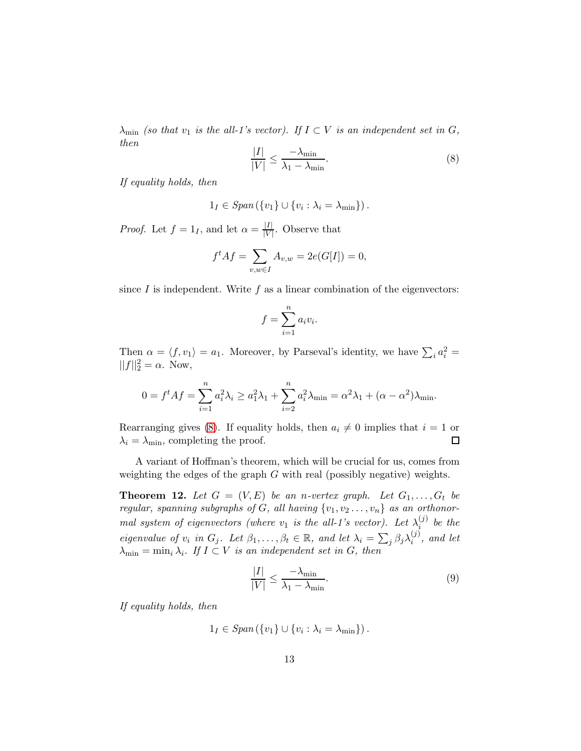$\lambda_{\min}$  (so that  $v_1$  is the all-1's vector). If  $I \subset V$  is an independent set in  $G$ , then

<span id="page-12-1"></span>
$$
\frac{|I|}{|V|} \le \frac{-\lambda_{\min}}{\lambda_1 - \lambda_{\min}}.\tag{8}
$$

If equality holds, then

$$
1_I \in Span(\{v_1\} \cup \{v_i : \lambda_i = \lambda_{\min}\})\,.
$$

*Proof.* Let  $f = 1_I$ , and let  $\alpha = \frac{|I|}{|V|}$  $\frac{|I|}{|V|}$ . Observe that

$$
f^t A f = \sum_{v,w \in I} A_{v,w} = 2e(G[I]) = 0,
$$

since  $I$  is independent. Write  $f$  as a linear combination of the eigenvectors:

$$
f = \sum_{i=1}^{n} a_i v_i.
$$

Then  $\alpha = \langle f, v_1 \rangle = a_1$ . Moreover, by Parseval's identity, we have  $\sum_i a_i^2 =$  $||f||_2^2 = \alpha$ . Now,

$$
0 = f^t A f = \sum_{i=1}^n a_i^2 \lambda_i \ge a_1^2 \lambda_1 + \sum_{i=2}^n a_i^2 \lambda_{\min} = \alpha^2 \lambda_1 + (\alpha - \alpha^2) \lambda_{\min}.
$$

Rearranging gives [\(8\)](#page-12-1). If equality holds, then  $a_i \neq 0$  implies that  $i = 1$  or  $\lambda_i = \lambda_{\min}$ , completing the proof.  $\lambda_i = \lambda_{\min}$ , completing the proof.

A variant of Hoffman's theorem, which will be crucial for us, comes from weighting the edges of the graph  $G$  with real (possibly negative) weights.

<span id="page-12-0"></span>**Theorem 12.** Let  $G = (V, E)$  be an n-vertex graph. Let  $G_1, \ldots, G_t$  be regular, spanning subgraphs of G, all having  $\{v_1, v_2 \ldots, v_n\}$  as an orthonormal system of eigenvectors (where  $v_1$  is the all-1's vector). Let  $\lambda_i^{(j)}$  $\binom{U}{i}$  be the eigenvalue of  $v_i$  in  $G_j$ . Let  $\beta_1, \ldots, \beta_t \in \mathbb{R}$ , and let  $\lambda_i = \sum_j \beta_j \lambda_i^{(j)}$  $i^{(J)}$ , and let  $\lambda_{\min} = \min_i \lambda_i$ . If  $I \subset V$  is an independent set in G, then

<span id="page-12-2"></span>
$$
\frac{|I|}{|V|} \le \frac{-\lambda_{\min}}{\lambda_1 - \lambda_{\min}}.\tag{9}
$$

If equality holds, then

$$
1_I \in Span\left(\{v_1\} \cup \{v_i : \lambda_i = \lambda_{\min}\}\right).
$$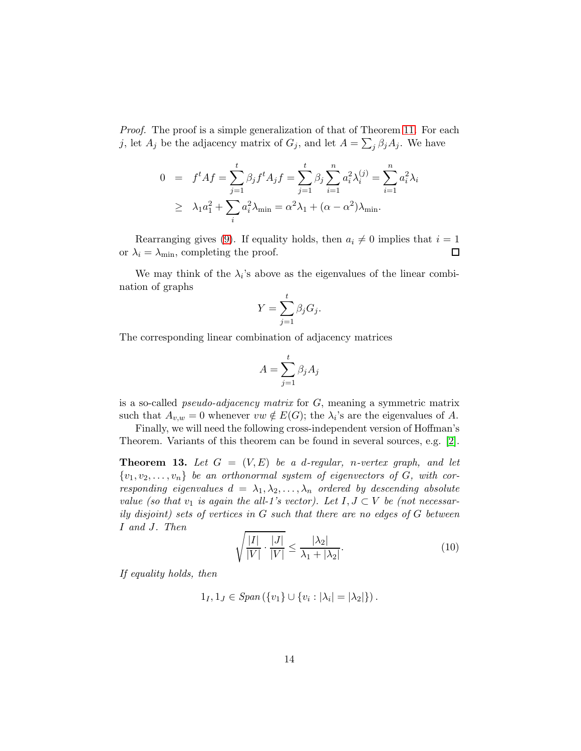Proof. The proof is a simple generalization of that of Theorem [11.](#page-11-0) For each j, let  $A_j$  be the adjacency matrix of  $G_j$ , and let  $A = \sum_j \beta_j A_j$ . We have

$$
0 = ft A f = \sum_{j=1}^{t} \beta_j f^t A_j f = \sum_{j=1}^{t} \beta_j \sum_{i=1}^{n} a_i^2 \lambda_i^{(j)} = \sum_{i=1}^{n} a_i^2 \lambda_i
$$
  
\n
$$
\geq \lambda_1 a_1^2 + \sum_{i} a_i^2 \lambda_{\min} = \alpha^2 \lambda_1 + (\alpha - \alpha^2) \lambda_{\min}.
$$

Rearranging gives [\(9\)](#page-12-2). If equality holds, then  $a_i \neq 0$  implies that  $i = 1$ <br> $\lambda_i = \lambda_{\min}$ , completing the proof. or  $\lambda_i = \lambda_{\min}$ , completing the proof.

We may think of the  $\lambda_i$ 's above as the eigenvalues of the linear combination of graphs

$$
Y = \sum_{j=1}^{t} \beta_j G_j.
$$

The corresponding linear combination of adjacency matrices

$$
A = \sum_{j=1}^t \beta_j A_j
$$

is a so-called *pseudo-adjacency matrix* for  $G$ , meaning a symmetric matrix such that  $A_{v,w} = 0$  whenever  $vw \notin E(G)$ ; the  $\lambda_i$ 's are the eigenvalues of A.

Finally, we will need the following cross-independent version of Hoffman's Theorem. Variants of this theorem can be found in several sources, e.g. [\[2\]](#page-44-5).

<span id="page-13-0"></span>**Theorem 13.** Let  $G = (V, E)$  be a d-regular, n-vertex graph, and let  $\{v_1, v_2, \ldots, v_n\}$  be an orthonormal system of eigenvectors of G, with corresponding eigenvalues  $d = \lambda_1, \lambda_2, \ldots, \lambda_n$  ordered by descending absolute value (so that  $v_1$  is again the all-1's vector). Let  $I, J \subset V$  be (not necessarily disjoint) sets of vertices in G such that there are no edges of G between I and J. Then

$$
\sqrt{\frac{|I|}{|V|} \cdot \frac{|J|}{|V|}} \le \frac{|\lambda_2|}{\lambda_1 + |\lambda_2|}.\tag{10}
$$

If equality holds, then

$$
1_I, 1_J \in Span(\{v_1\} \cup \{v_i : |\lambda_i| = |\lambda_2|\})\,.
$$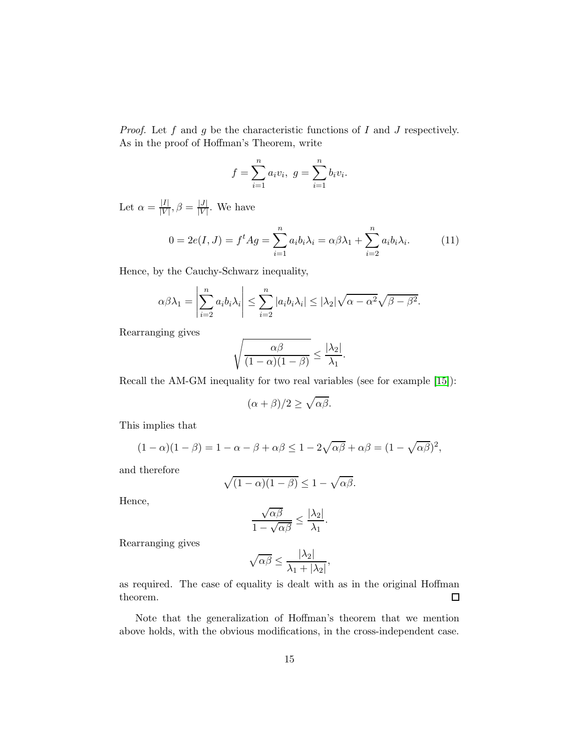*Proof.* Let  $f$  and  $g$  be the characteristic functions of  $I$  and  $J$  respectively. As in the proof of Hoffman's Theorem, write

$$
f = \sum_{i=1}^{n} a_i v_i, \ g = \sum_{i=1}^{n} b_i v_i.
$$

Let  $\alpha = \frac{|I|}{|V|}$  $\frac{|I|}{|V|}, \beta = \frac{|J|}{|V|}$  $\frac{|J|}{|V|}$ . We have

$$
0 = 2e(I, J) = f^t A g = \sum_{i=1}^n a_i b_i \lambda_i = \alpha \beta \lambda_1 + \sum_{i=2}^n a_i b_i \lambda_i.
$$
 (11)

Hence, by the Cauchy-Schwarz inequality,

$$
\alpha \beta \lambda_1 = \left| \sum_{i=2}^n a_i b_i \lambda_i \right| \leq \sum_{i=2}^n |a_i b_i \lambda_i| \leq |\lambda_2| \sqrt{\alpha - \alpha^2} \sqrt{\beta - \beta^2}.
$$

Rearranging gives

$$
\sqrt{\frac{\alpha\beta}{(1-\alpha)(1-\beta)}} \le \frac{|\lambda_2|}{\lambda_1}.
$$

Recall the AM-GM inequality for two real variables (see for example [\[15\]](#page-45-9)):

$$
(\alpha + \beta)/2 \ge \sqrt{\alpha \beta}.
$$

This implies that

$$
(1 - \alpha)(1 - \beta) = 1 - \alpha - \beta + \alpha\beta \le 1 - 2\sqrt{\alpha\beta} + \alpha\beta = (1 - \sqrt{\alpha\beta})^2,
$$

and therefore

$$
\sqrt{(1-\alpha)(1-\beta)} \le 1 - \sqrt{\alpha\beta}.
$$

Hence,

$$
\frac{\sqrt{\alpha\beta}}{1-\sqrt{\alpha\beta}}\leq \frac{|\lambda_2|}{\lambda_1}.
$$

Rearranging gives

$$
\sqrt{\alpha\beta} \le \frac{|\lambda_2|}{\lambda_1 + |\lambda_2|},
$$

 $\rightarrow$ 

as required. The case of equality is dealt with as in the original Hoffman theorem.  $\Box$ 

Note that the generalization of Hoffman's theorem that we mention above holds, with the obvious modifications, in the cross-independent case.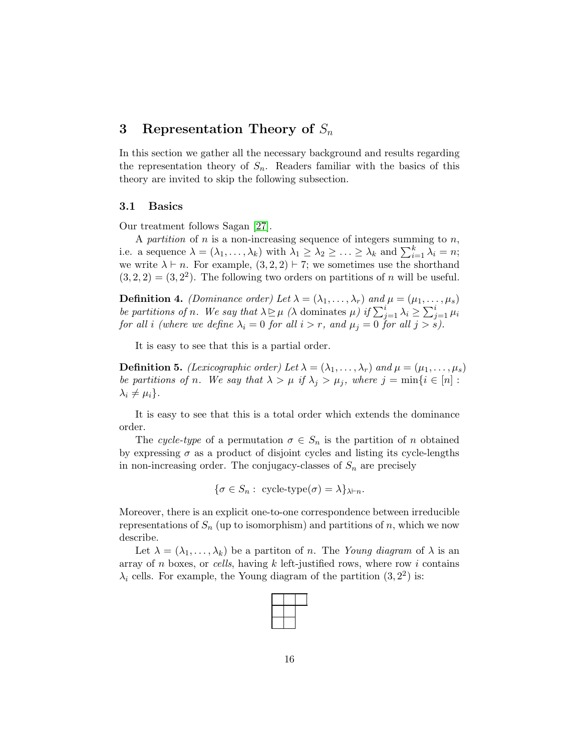# <span id="page-15-0"></span>3 Representation Theory of  $S_n$

In this section we gather all the necessary background and results regarding the representation theory of  $S_n$ . Readers familiar with the basics of this theory are invited to skip the following subsection.

### 3.1 Basics

Our treatment follows Sagan [\[27\]](#page-46-3).

A partition of n is a non-increasing sequence of integers summing to n, i.e. a sequence  $\lambda = (\lambda_1, \ldots, \lambda_k)$  with  $\lambda_1 \geq \lambda_2 \geq \ldots \geq \lambda_k$  and  $\sum_{i=1}^k \lambda_i = n$ ; we write  $\lambda \vdash n$ . For example,  $(3, 2, 2) \vdash 7$ ; we sometimes use the shorthand  $(3, 2, 2) = (3, 2^2)$ . The following two orders on partitions of *n* will be useful.

**Definition 4.** *(Dominance order)* Let  $\lambda = (\lambda_1, \ldots, \lambda_r)$  and  $\mu = (\mu_1, \ldots, \mu_s)$ be partitions of n. We say that  $\lambda \geq \mu$  ( $\lambda$  dominates  $\mu$ ) if  $\sum_{j=1}^{i} \lambda_i \geq \sum_{j=1}^{i} \mu_i$ for all i (where we define  $\lambda_i = 0$  for all  $i > r$ , and  $\mu_j = 0$  for all  $j > s$ ).

It is easy to see that this is a partial order.

**Definition 5.** (Lexicographic order) Let  $\lambda = (\lambda_1, \ldots, \lambda_r)$  and  $\mu = (\mu_1, \ldots, \mu_s)$ be partitions of n. We say that  $\lambda > \mu$  if  $\lambda_j > \mu_j$ , where  $j = \min\{i \in [n] :$  $\lambda_i \neq \mu_i$ .

It is easy to see that this is a total order which extends the dominance order.

The cycle-type of a permutation  $\sigma \in S_n$  is the partition of n obtained by expressing  $\sigma$  as a product of disjoint cycles and listing its cycle-lengths in non-increasing order. The conjugacy-classes of  $S_n$  are precisely

$$
\{\sigma \in S_n: \text{ cycle-type}(\sigma) = \lambda\}_{\lambda \vdash n}.
$$

Moreover, there is an explicit one-to-one correspondence between irreducible representations of  $S_n$  (up to isomorphism) and partitions of n, which we now describe.

Let  $\lambda = (\lambda_1, \ldots, \lambda_k)$  be a partition of n. The Young diagram of  $\lambda$  is an array of  $n$  boxes, or cells, having  $k$  left-justified rows, where row  $i$  contains  $\lambda_i$  cells. For example, the Young diagram of the partition  $(3, 2^2)$  is: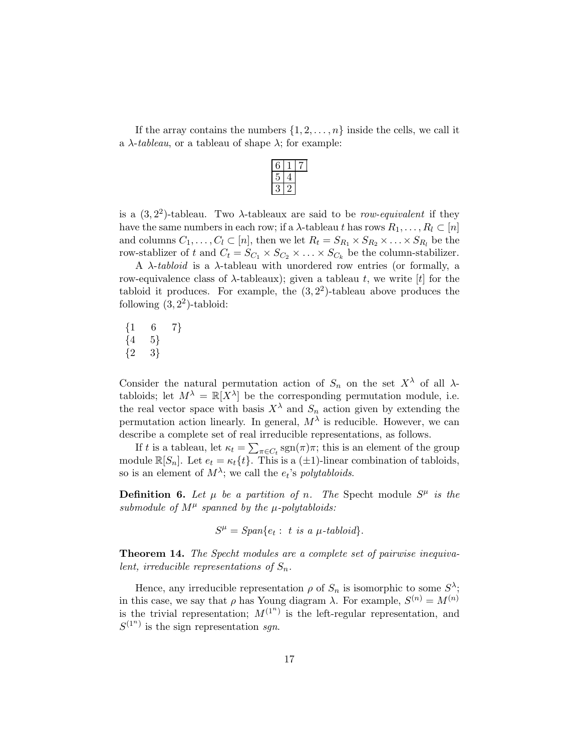If the array contains the numbers  $\{1, 2, \ldots, n\}$  inside the cells, we call it a  $\lambda$ -tableau, or a tableau of shape  $\lambda$ ; for example:

is a  $(3, 2^2)$ -tableau. Two  $\lambda$ -tableaux are said to be *row-equivalent* if they have the same numbers in each row; if a  $\lambda$ -tableau t has rows  $R_1, \ldots, R_l \subset [n]$ and columns  $C_1, \ldots, C_l \subset [n]$ , then we let  $R_t = S_{R_1} \times S_{R_2} \times \ldots \times S_{R_l}$  be the row-stablizer of t and  $C_t = S_{C_1} \times S_{C_2} \times \ldots \times S_{C_k}$  be the column-stabilizer.

A  $\lambda$ -tabloid is a  $\lambda$ -tableau with unordered row entries (or formally, a row-equivalence class of  $λ$ -tableaux); given a tableau t, we write [t] for the tabloid it produces. For example, the  $(3, 2^2)$ -tableau above produces the following  $(3, 2^2)$ -tabloid:

 $\begin{array}{cc} \{1 & 6 & 7\} \\ \{4 & 5\} \end{array}$  $\begin{array}{cc} \{4 & 5\} \\ \{2 & 3\} \end{array}$  $\{3\}$ 

Consider the natural permutation action of  $S_n$  on the set  $X^{\lambda}$  of all  $\lambda$ tabloids; let  $M^{\lambda} = \mathbb{R}[X^{\lambda}]$  be the corresponding permutation module, i.e. the real vector space with basis  $X^{\lambda}$  and  $S_n$  action given by extending the permutation action linearly. In general,  $M^{\lambda}$  is reducible. However, we can describe a complete set of real irreducible representations, as follows.

If t is a tableau, let  $\kappa_t = \sum_{\pi \in C_t} \text{sgn}(\pi)\pi$ ; this is an element of the group module  $\mathbb{R}[S_n]$ . Let  $e_t = \kappa_t\{t\}$ . This is a  $(\pm 1)$ -linear combination of tabloids, so is an element of  $M^{\lambda}$ ; we call the  $e_t$ 's polytabloids.

**Definition 6.** Let  $\mu$  be a partition of n. The Specht module  $S^{\mu}$  is the submodule of  $M^{\mu}$  spanned by the  $\mu$ -polytabloids:

 $S^{\mu} = Span\{e_t : t \text{ is a } \mu\text{-}tabloid\}.$ 

<span id="page-16-0"></span>Theorem 14. The Specht modules are a complete set of pairwise inequivalent, irreducible representations of  $S_n$ .

Hence, any irreducible representation  $\rho$  of  $S_n$  is isomorphic to some  $S^{\lambda}$ ; in this case, we say that  $\rho$  has Young diagram  $\lambda$ . For example,  $S^{(n)} = M^{(n)}$ is the trivial representation;  $M^{(1^n)}$  is the left-regular representation, and  $S^{(1^n)}$  is the sign representation sgn.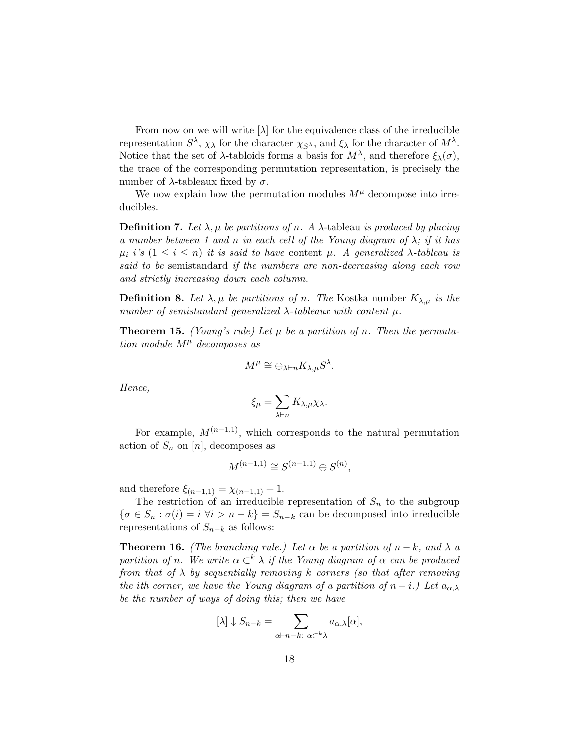From now on we will write  $[\lambda]$  for the equivalence class of the irreducible representation  $S^{\lambda}$ ,  $\chi_{\lambda}$  for the character  $\chi_{S^{\lambda}}$ , and  $\xi_{\lambda}$  for the character of  $M^{\lambda}$ . Notice that the set of  $\lambda$ -tabloids forms a basis for  $M^{\lambda}$ , and therefore  $\xi_{\lambda}(\sigma)$ , the trace of the corresponding permutation representation, is precisely the number of  $\lambda$ -tableaux fixed by σ.

We now explain how the permutation modules  $M^{\mu}$  decompose into irreducibles.

**Definition 7.** Let  $\lambda, \mu$  be partitions of n. A  $\lambda$ -tableau is produced by placing a number between 1 and n in each cell of the Young diagram of  $\lambda$ ; if it has  $\mu_i$  i's  $(1 \leq i \leq n)$  it is said to have content  $\mu$ . A generalized  $\lambda$ -tableau is said to be semistandard if the numbers are non-decreasing along each row and strictly increasing down each column.

**Definition 8.** Let  $\lambda, \mu$  be partitions of n. The Kostka number  $K_{\lambda,\mu}$  is the number of semistandard generalized  $\lambda$ -tableaux with content  $\mu$ .

<span id="page-17-0"></span>**Theorem 15.** (Young's rule) Let  $\mu$  be a partition of n. Then the permutation module  $M^{\mu}$  decomposes as

$$
M^{\mu} \cong \oplus_{\lambda \vdash n} K_{\lambda,\mu} S^{\lambda}.
$$

Hence,

$$
\xi_{\mu} = \sum_{\lambda \vdash n} K_{\lambda, \mu} \chi_{\lambda}.
$$

For example,  $M^{(n-1,1)}$ , which corresponds to the natural permutation action of  $S_n$  on  $[n]$ , decomposes as

$$
M^{(n-1,1)} \cong S^{(n-1,1)} \oplus S^{(n)},
$$

and therefore  $\xi_{(n-1,1)} = \chi_{(n-1,1)} + 1$ .

The restriction of an irreducible representation of  $S_n$  to the subgroup  $\{\sigma \in S_n : \sigma(i) = i \; \forall i > n - k\} = S_{n-k}$  can be decomposed into irreducible representations of  $S_{n-k}$  as follows:

<span id="page-17-1"></span>**Theorem 16.** (The branching rule.) Let  $\alpha$  be a partition of  $n - k$ , and  $\lambda$  a partition of n. We write  $\alpha \subset^{k} \lambda$  if the Young diagram of  $\alpha$  can be produced from that of  $\lambda$  by sequentially removing k corners (so that after removing the ith corner, we have the Young diagram of a partition of  $n-i$ .) Let  $a_{\alpha,\lambda}$ be the number of ways of doing this; then we have

$$
[\lambda] \downarrow S_{n-k} = \sum_{\alpha \vdash n-k \colon \, \alpha \subset^k \lambda} a_{\alpha,\lambda}[\alpha],
$$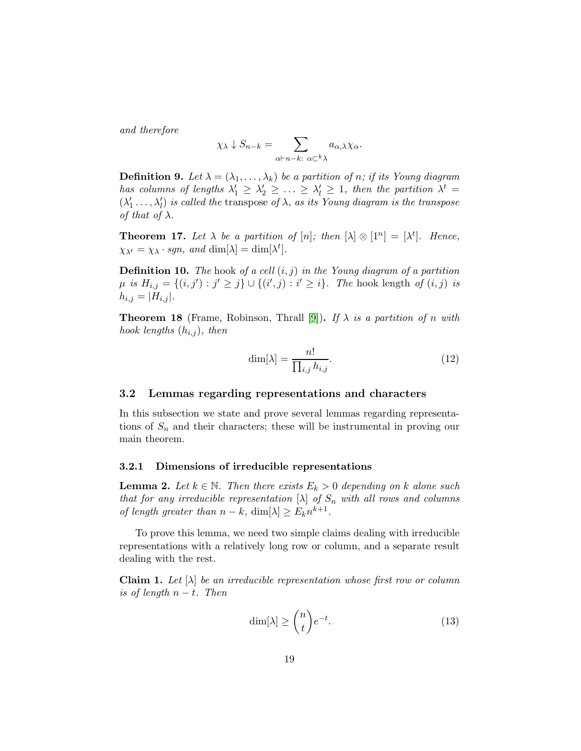and therefore

$$
\chi_{\lambda} \downarrow S_{n-k} = \sum_{\alpha \vdash n-k \colon \alpha \subset^k \lambda} a_{\alpha,\lambda} \chi_{\alpha}.
$$

**Definition 9.** Let  $\lambda = (\lambda_1, \ldots, \lambda_k)$  be a partition of n; if its Young diagram has columns of lengths  $\lambda'_1 \geq \lambda'_2 \geq \ldots \geq \lambda'_l \geq 1$ , then the partition  $\lambda^t =$  $(\lambda'_1 \ldots, \lambda'_l)$  is called the transpose of  $\lambda$ , as its Young diagram is the transpose of that of  $\lambda$ .

<span id="page-18-3"></span>**Theorem 17.** Let  $\lambda$  be a partition of  $[n]$ ; then  $[\lambda] \otimes [1^n] = [\lambda^t]$ . Hence,  $\chi_{\lambda^t} = \chi_{\lambda} \cdot sgn$ , and  $\dim[\lambda] = \dim[\lambda^t]$ .

**Definition 10.** The hook of a cell  $(i, j)$  in the Young diagram of a partition  $\mu$  is  $H_{i,j} = \{(i,j') : j' \geq j\} ∪ \{(i',j) : i' \geq i\}$ . The hook length of  $(i,j)$  is  $h_{i,j} = |H_{i,j}|.$ 

**Theorem 18** (Frame, Robinson, Thrall [\[9\]](#page-44-6)). If  $\lambda$  is a partition of n with hook lengths  $(h_{i,j})$ , then

<span id="page-18-0"></span>
$$
\dim[\lambda] = \frac{n!}{\prod_{i,j} h_{i,j}}.\tag{12}
$$

#### 3.2 Lemmas regarding representations and characters

In this subsection we state and prove several lemmas regarding representations of  $S_n$  and their characters; these will be instrumental in proving our main theorem.

#### 3.2.1 Dimensions of irreducible representations

<span id="page-18-2"></span>**Lemma 2.** Let  $k \in \mathbb{N}$ . Then there exists  $E_k > 0$  depending on k alone such that for any irreducible representation  $[\lambda]$  of  $S_n$  with all rows and columns of length greater than  $n - k$ , dim $[\lambda] \ge E_k n^{k+1}$ .

To prove this lemma, we need two simple claims dealing with irreducible representations with a relatively long row or column, and a separate result dealing with the rest.

<span id="page-18-1"></span>**Claim 1.** Let  $[\lambda]$  be an irreducible representation whose first row or column is of length  $n-t$ . Then

$$
\dim[\lambda] \ge \binom{n}{t} e^{-t}.\tag{13}
$$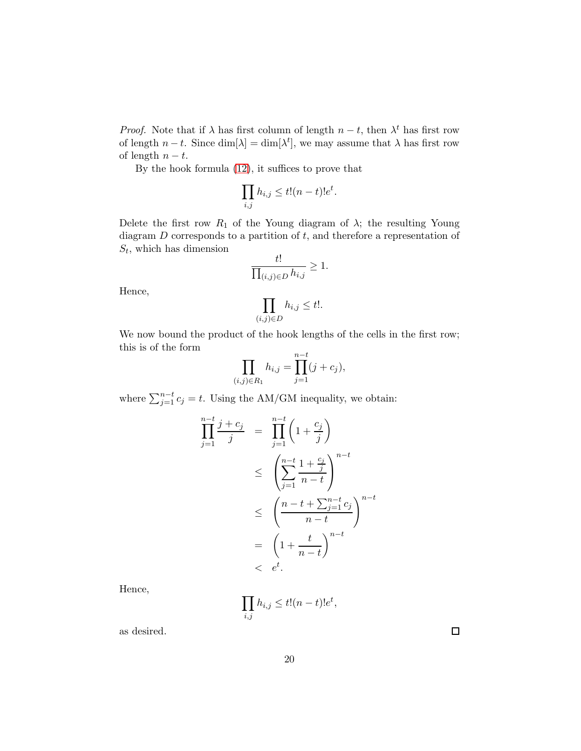*Proof.* Note that if  $\lambda$  has first column of length  $n - t$ , then  $\lambda^t$  has first row of length  $n - t$ . Since  $\dim[\lambda] = \dim[\lambda^t]$ , we may assume that  $\lambda$  has first row of length  $n - t$ .

By the hook formula [\(12\)](#page-18-0), it suffices to prove that

$$
\prod_{i,j} h_{i,j} \le t!(n-t)!e^t.
$$

Delete the first row  $R_1$  of the Young diagram of  $\lambda$ ; the resulting Young diagram  $D$  corresponds to a partition of  $t$ , and therefore a representation of  $S_t$ , which has dimension

$$
\frac{t!}{\prod_{(i,j)\in D}h_{i,j}}\geq 1.
$$

Hence,

$$
\prod_{(i,j)\in D} h_{i,j} \le t!.
$$

We now bound the product of the hook lengths of the cells in the first row; this is of the form

$$
\prod_{(i,j)\in R_1} h_{i,j} = \prod_{j=1}^{n-t} (j+c_j),
$$

where  $\sum_{j=1}^{n-t} c_j = t$ . Using the AM/GM inequality, we obtain:

$$
\prod_{j=1}^{n-t} \frac{j+c_j}{j} = \prod_{j=1}^{n-t} \left(1 + \frac{c_j}{j}\right)
$$
\n
$$
\leq \left(\sum_{j=1}^{n-t} \frac{1 + \frac{c_j}{j}}{n-t}\right)^{n-t}
$$
\n
$$
\leq \left(\frac{n-t + \sum_{j=1}^{n-t} c_j}{n-t}\right)^{n-t}
$$
\n
$$
= \left(1 + \frac{t}{n-t}\right)^{n-t}
$$
\n
$$
< e^t.
$$

Hence,

$$
\prod_{i,j} h_{i,j} \le t!(n-t)!e^t,
$$

as desired.

 $\Box$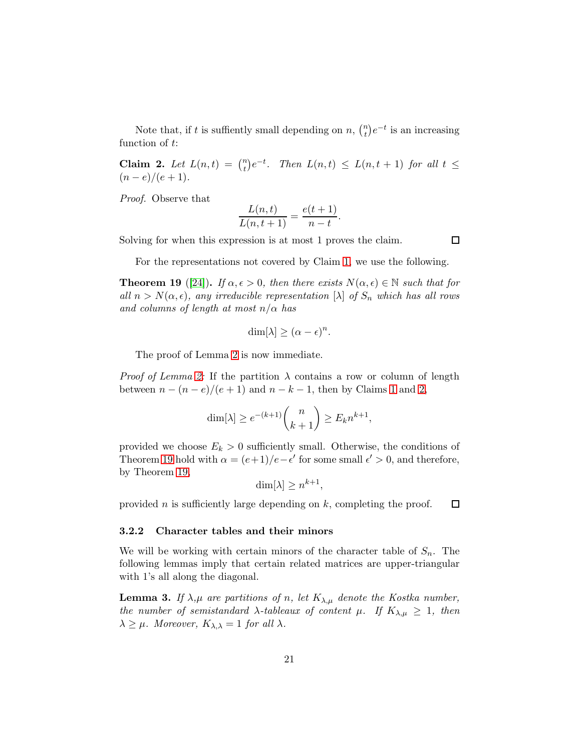Note that, if t is suffiently small depending on  $n, \binom{n}{t}$  $\binom{n}{t}e^{-t}$  is an increasing function of t:

<span id="page-20-0"></span>Claim 2. Let  $L(n,t) = \binom{n}{t}$  $t(t)$  $e^{-t}$ . Then  $L(n,t) \le L(n,t+1)$  for all  $t \le$  $(n-e)/(e+1)$ .

Proof. Observe that

$$
\frac{L(n,t)}{L(n,t+1)} = \frac{e(t+1)}{n-t}.
$$

Solving for when this expression is at most 1 proves the claim.

口

For the representations not covered by Claim [1,](#page-18-1) we use the following.

<span id="page-20-1"></span>**Theorem 19** ([\[24\]](#page-46-4)). If  $\alpha, \epsilon > 0$ , then there exists  $N(\alpha, \epsilon) \in \mathbb{N}$  such that for all  $n > N(\alpha, \epsilon)$ , any irreducible representation  $[\lambda]$  of  $S_n$  which has all rows and columns of length at most  $n/\alpha$  has

$$
\dim[\lambda] \geq (\alpha - \epsilon)^n.
$$

The proof of Lemma [2](#page-18-2) is now immediate.

*Proof of Lemma [2:](#page-18-2)* If the partition  $\lambda$  contains a row or column of length between  $n - (n - e)/(e + 1)$  $n - (n - e)/(e + 1)$  $n - (n - e)/(e + 1)$  and  $n - k - 1$ , then by Claims 1 and [2,](#page-20-0)

$$
\dim[\lambda] \ge e^{-(k+1)} \binom{n}{k+1} \ge E_k n^{k+1},
$$

provided we choose  $E_k > 0$  sufficiently small. Otherwise, the conditions of Theorem [19](#page-20-1) hold with  $\alpha = (e+1)/e-\epsilon'$  for some small  $\epsilon' > 0$ , and therefore, by Theorem [19,](#page-20-1)

$$
\dim[\lambda] \ge n^{k+1},
$$

provided *n* is sufficiently large depending on  $k$ , completing the proof.  $\Box$ 

#### 3.2.2 Character tables and their minors

We will be working with certain minors of the character table of  $S_n$ . The following lemmas imply that certain related matrices are upper-triangular with 1's all along the diagonal.

<span id="page-20-2"></span>**Lemma 3.** If  $\lambda, \mu$  are partitions of n, let  $K_{\lambda, \mu}$  denote the Kostka number, the number of semistandard  $\lambda$ -tableaux of content  $\mu$ . If  $K_{\lambda,\mu} \geq 1$ , then  $\lambda \geq \mu$ . Moreover,  $K_{\lambda,\lambda} = 1$  for all  $\lambda$ .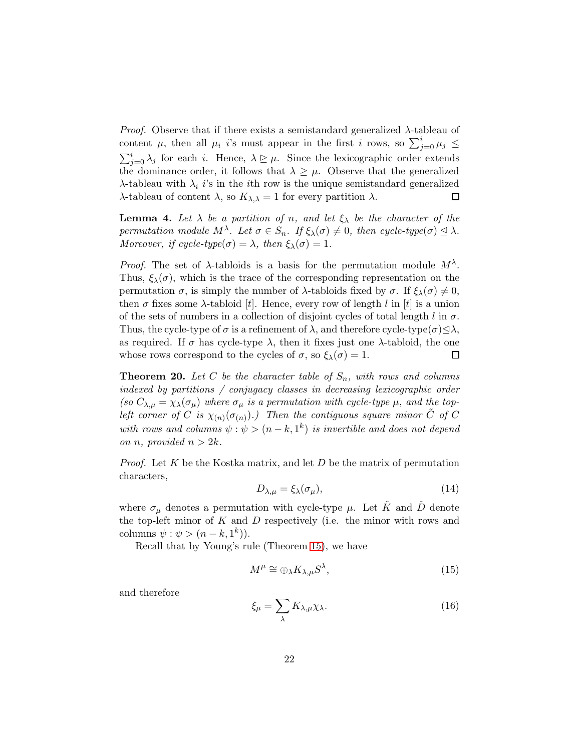*Proof.* Observe that if there exists a semistandard generalized  $\lambda$ -tableau of content  $\mu$ , then all  $\mu_i$  *i*'s must appear in the first *i* rows, so  $\sum_{j=0}^{i} \mu_j \leq$  $\sum_{j=0}^{i} \lambda_j$  for each i. Hence,  $\lambda \geq \mu$ . Since the lexicographic order extends the dominance order, it follows that  $\lambda \geq \mu$ . Observe that the generalized λ-tableau with  $\lambda_i$  is in the ith row is the unique semistandard generalized λ-tableau of content  $\lambda$ , so  $K_{\lambda,\lambda} = 1$  for every partition  $\lambda$ .  $\Box$ 

<span id="page-21-0"></span>**Lemma 4.** Let  $\lambda$  be a partition of n, and let  $\xi_{\lambda}$  be the character of the permutation module  $M^{\lambda}$ . Let  $\sigma \in S_n$ . If  $\xi_{\lambda}(\sigma) \neq 0$ , then cycle-type $(\sigma) \leq \lambda$ . Moreover, if cycle-type $(\sigma) = \lambda$ , then  $\xi_{\lambda}(\sigma) = 1$ .

*Proof.* The set of  $\lambda$ -tabloids is a basis for the permutation module  $M^{\lambda}$ . Thus,  $\xi_{\lambda}(\sigma)$ , which is the trace of the corresponding representation on the permutation  $\sigma$ , is simply the number of  $\lambda$ -tabloids fixed by  $\sigma$ . If  $\xi_{\lambda}(\sigma) \neq 0$ , then  $\sigma$  fixes some  $\lambda$ -tabloid [t]. Hence, every row of length l in [t] is a union of the sets of numbers in a collection of disjoint cycles of total length  $l$  in  $\sigma$ . Thus, the cycle-type of  $\sigma$  is a refinement of  $\lambda$ , and therefore cycle-type $(\sigma) \triangleleft \lambda$ , as required. If  $\sigma$  has cycle-type  $\lambda$ , then it fixes just one  $\lambda$ -tabloid, the one whose rows correspond to the cycles of  $\sigma$ , so  $\xi_{\lambda}(\sigma) = 1$ . □

<span id="page-21-1"></span>**Theorem 20.** Let C be the character table of  $S_n$ , with rows and columns indexed by partitions / conjugacy classes in decreasing lexicographic order (so  $C_{\lambda,\mu} = \chi_{\lambda}(\sigma_{\mu})$  where  $\sigma_{\mu}$  is a permutation with cycle-type  $\mu$ , and the topleft corner of C is  $\chi_{(n)}(\sigma_{(n)})$ .) Then the contiguous square minor  $\tilde{C}$  of C with rows and columns  $\psi : \psi > (n - k, 1^k)$  is invertible and does not depend on *n*, provided  $n > 2k$ .

*Proof.* Let  $K$  be the Kostka matrix, and let  $D$  be the matrix of permutation characters,

$$
D_{\lambda,\mu} = \xi_{\lambda}(\sigma_{\mu}),\tag{14}
$$

where  $\sigma_{\mu}$  denotes a permutation with cycle-type  $\mu$ . Let  $\tilde{K}$  and  $\tilde{D}$  denote the top-left minor of  $K$  and  $D$  respectively (i.e. the minor with rows and columns  $\psi : \psi > (n-k, 1^k)$ .

Recall that by Young's rule (Theorem [15\)](#page-17-0), we have

$$
M^{\mu} \cong \bigoplus_{\lambda} K_{\lambda,\mu} S^{\lambda},\tag{15}
$$

and therefore

$$
\xi_{\mu} = \sum_{\lambda} K_{\lambda,\mu} \chi_{\lambda}.
$$
 (16)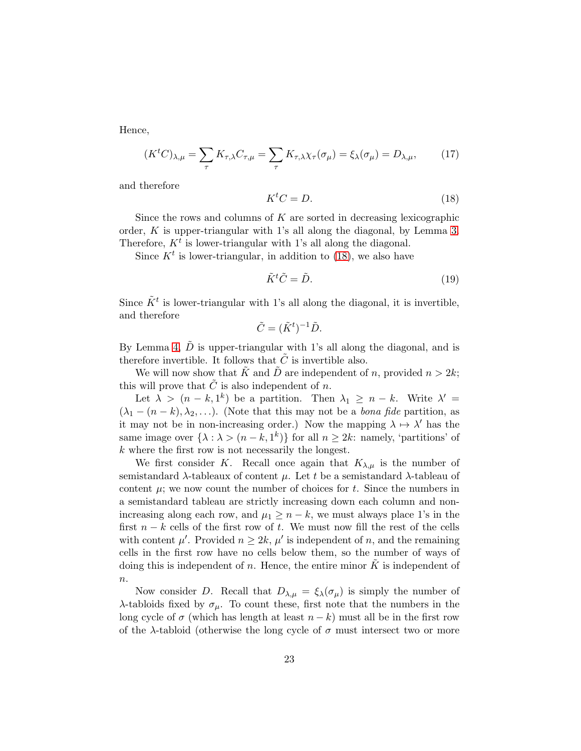Hence,

$$
(K^t C)_{\lambda,\mu} = \sum_{\tau} K_{\tau,\lambda} C_{\tau,\mu} = \sum_{\tau} K_{\tau,\lambda} \chi_{\tau}(\sigma_{\mu}) = \xi_{\lambda}(\sigma_{\mu}) = D_{\lambda,\mu},\tag{17}
$$

and therefore

<span id="page-22-0"></span>
$$
K^t C = D. \tag{18}
$$

Since the rows and columns of  $K$  are sorted in decreasing lexicographic order,  $K$  is upper-triangular with 1's all along the diagonal, by Lemma [3.](#page-20-2) Therefore,  $K<sup>t</sup>$  is lower-triangular with 1's all along the diagonal.

Since  $K^t$  is lower-triangular, in addition to [\(18\)](#page-22-0), we also have

$$
\tilde{K}^t \tilde{C} = \tilde{D}.\tag{19}
$$

Since  $\tilde{K}^t$  is lower-triangular with 1's all along the diagonal, it is invertible, and therefore

$$
\tilde{C} = (\tilde{K}^t)^{-1} \tilde{D}.
$$

By Lemma [4,](#page-21-0)  $\tilde{D}$  is upper-triangular with 1's all along the diagonal, and is therefore invertible. It follows that  $\tilde{C}$  is invertible also.

We will now show that  $\tilde{K}$  and  $\tilde{D}$  are independent of n, provided  $n > 2k$ ; this will prove that  $\tilde{C}$  is also independent of n.

Let  $\lambda > (n-k, 1^k)$  be a partition. Then  $\lambda_1 \geq n-k$ . Write  $\lambda' =$  $(\lambda_1 - (n - k), \lambda_2, \ldots)$ . (Note that this may not be a *bona fide* partition, as it may not be in non-increasing order.) Now the mapping  $\lambda \mapsto \lambda'$  has the same image over  $\{\lambda : \lambda > (n - k, 1^k)\}\$ for all  $n \geq 2k$ : namely, 'partitions' of  $k$  where the first row is not necessarily the longest.

We first consider K. Recall once again that  $K_{\lambda,\mu}$  is the number of semistandard  $\lambda$ -tableaux of content  $\mu$ . Let t be a semistandard  $\lambda$ -tableau of content  $\mu$ ; we now count the number of choices for t. Since the numbers in a semistandard tableau are strictly increasing down each column and nonincreasing along each row, and  $\mu_1 \geq n-k$ , we must always place 1's in the first  $n - k$  cells of the first row of t. We must now fill the rest of the cells with content  $\mu'$ . Provided  $n \geq 2k$ ,  $\mu'$  is independent of n, and the remaining cells in the first row have no cells below them, so the number of ways of doing this is independent of n. Hence, the entire minor  $\tilde{K}$  is independent of  $\overline{n}$ .

Now consider D. Recall that  $D_{\lambda,\mu} = \xi_{\lambda}(\sigma_{\mu})$  is simply the number of λ-tabloids fixed by σµ. To count these, first note that the numbers in the long cycle of  $\sigma$  (which has length at least  $n - k$ ) must all be in the first row of the  $\lambda$ -tabloid (otherwise the long cycle of  $\sigma$  must intersect two or more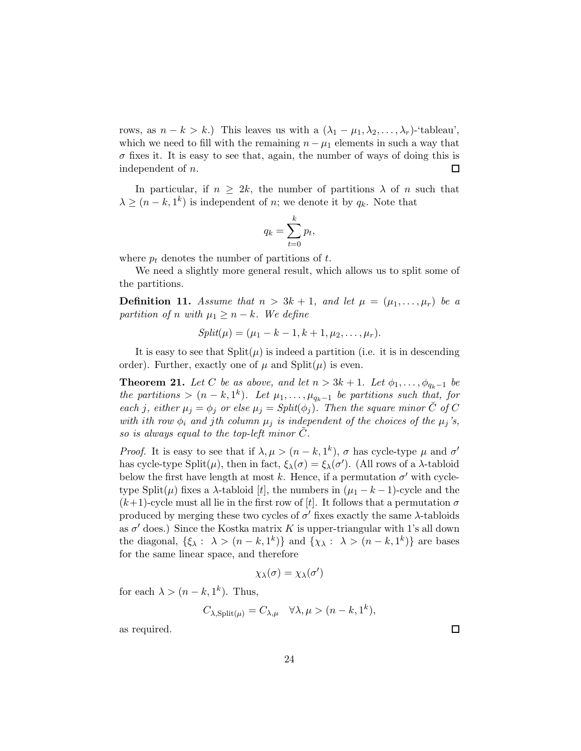rows, as  $n - k > k$ .) This leaves us with a  $(\lambda_1 - \mu_1, \lambda_2, \ldots, \lambda_r)$ -'tableau', which we need to fill with the remaining  $n - \mu_1$  elements in such a way that  $\sigma$  fixes it. It is easy to see that, again, the number of ways of doing this is independent of n. 口

In particular, if  $n \geq 2k$ , the number of partitions  $\lambda$  of n such that  $\lambda \geq (n-k, 1^k)$  is independent of *n*; we denote it by  $q_k$ . Note that

$$
q_k = \sum_{t=0}^k p_t,
$$

where  $p_t$  denotes the number of partitions of t.

We need a slightly more general result, which allows us to split some of the partitions.

<span id="page-23-1"></span>**Definition 11.** Assume that  $n > 3k + 1$ , and let  $\mu = (\mu_1, \ldots, \mu_r)$  be a partition of n with  $\mu_1 \geq n-k$ . We define

$$
Split(\mu) = (\mu_1 - k - 1, k + 1, \mu_2, \dots, \mu_r).
$$

It is easy to see that  $Split(\mu)$  is indeed a partition (i.e. it is in descending order). Further, exactly one of  $\mu$  and  $Split(\mu)$  is even.

<span id="page-23-0"></span>**Theorem 21.** Let C be as above, and let  $n > 3k + 1$ . Let  $\phi_1, \ldots, \phi_{q_k-1}$  be the partitions >  $(n - k, 1<sup>k</sup>)$ . Let  $\mu_1, \ldots, \mu_{q_k-1}$  be partitions such that, for each j, either  $\mu_j = \phi_j$  or else  $\mu_j = Split(\phi_j)$ . Then the square minor  $\check{C}$  of C with ith row  $\phi_i$  and jth column  $\mu_j$  is independent of the choices of the  $\mu_j$ 's, so is always equal to the top-left minor  $C$ .

*Proof.* It is easy to see that if  $\lambda, \mu > (n - k, 1^k)$ ,  $\sigma$  has cycle-type  $\mu$  and  $\sigma'$ has cycle-type Split( $\mu$ ), then in fact,  $\xi_{\lambda}(\sigma) = \xi_{\lambda}(\sigma')$ . (All rows of a  $\lambda$ -tabloid below the first have length at most k. Hence, if a permutation  $\sigma'$  with cycletype Split( $\mu$ ) fixes a  $\lambda$ -tabloid [t], the numbers in  $(\mu_1 - k - 1)$ -cycle and the  $(k+1)$ -cycle must all lie in the first row of [t]. It follows that a permutation  $\sigma$ produced by merging these two cycles of  $\sigma'$  fixes exactly the same  $\lambda$ -tabloids as  $\sigma'$  does.) Since the Kostka matrix K is upper-triangular with 1's all down the diagonal,  $\{\xi_{\lambda}: \lambda > (n-k, 1^k)\}\$ and  $\{\chi_{\lambda}: \lambda > (n-k, 1^k)\}\$ are bases for the same linear space, and therefore

$$
\chi_\lambda(\sigma)=\chi_\lambda(\sigma')
$$

for each  $\lambda > (n - k, 1^k)$ . Thus,

$$
C_{\lambda, \text{Split}(\mu)} = C_{\lambda, \mu} \quad \forall \lambda, \mu > (n - k, 1^k),
$$

as required.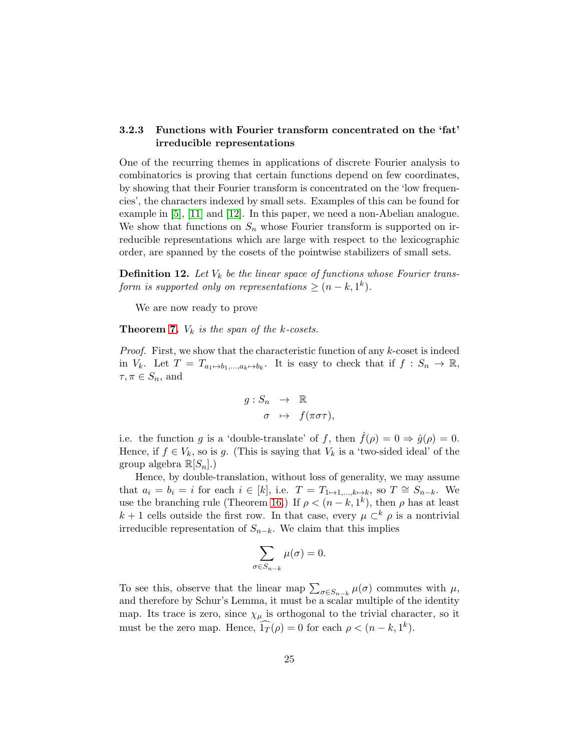## 3.2.3 Functions with Fourier transform concentrated on the 'fat' irreducible representations

One of the recurring themes in applications of discrete Fourier analysis to combinatorics is proving that certain functions depend on few coordinates, by showing that their Fourier transform is concentrated on the 'low frequencies', the characters indexed by small sets. Examples of this can be found for example in [\[5\]](#page-44-7), [\[11\]](#page-45-10) and [\[12\]](#page-45-11). In this paper, we need a non-Abelian analogue. We show that functions on  $S_n$  whose Fourier transform is supported on irreducible representations which are large with respect to the lexicographic order, are spanned by the cosets of the pointwise stabilizers of small sets.

**Definition 12.** Let  $V_k$  be the linear space of functions whose Fourier transform is supported only on representations  $\geq (n-k, 1^k)$ .

We are now ready to prove

**Theorem [7.](#page-5-1)**  $V_k$  is the span of the k-cosets.

*Proof.* First, we show that the characteristic function of any  $k$ -coset is indeed in  $V_k$ . Let  $T = T_{a_1 \mapsto b_1, \dots, a_k \mapsto b_k}$ . It is easy to check that if  $f : S_n \to \mathbb{R}$ ,  $\tau, \pi \in S_n$ , and

$$
g: S_n \to \mathbb{R}
$$
  

$$
\sigma \mapsto f(\pi \sigma \tau),
$$

i.e. the function g is a 'double-translate' of f, then  $\hat{f}(\rho) = 0 \Rightarrow \hat{g}(\rho) = 0$ . Hence, if  $f \in V_k$ , so is g. (This is saying that  $V_k$  is a 'two-sided ideal' of the group algebra  $\mathbb{R}[S_n]$ .)

Hence, by double-translation, without loss of generality, we may assume that  $a_i = b_i = i$  for each  $i \in [k]$ , i.e.  $T = T_{1 \mapsto 1,\dots,k \mapsto k}$ , so  $T \cong S_{n-k}$ . We use the branching rule (Theorem [16.](#page-17-1)) If  $\rho < (n - k, 1^k)$ , then  $\rho$  has at least  $k + 1$  cells outside the first row. In that case, every  $\mu \subset^k \rho$  is a nontrivial irreducible representation of  $S_{n-k}$ . We claim that this implies

$$
\sum_{\sigma \in S_{n-k}} \mu(\sigma) = 0.
$$

To see this, observe that the linear map  $\sum_{\sigma \in S_{n-k}} \mu(\sigma)$  commutes with  $\mu$ , and therefore by Schur's Lemma, it must be a scalar multiple of the identity map. Its trace is zero, since  $\chi_{\mu}$  is orthogonal to the trivial character, so it must be the zero map. Hence,  $\widehat{1_T}(\rho) = 0$  for each  $\rho < (n - k, 1^k)$ .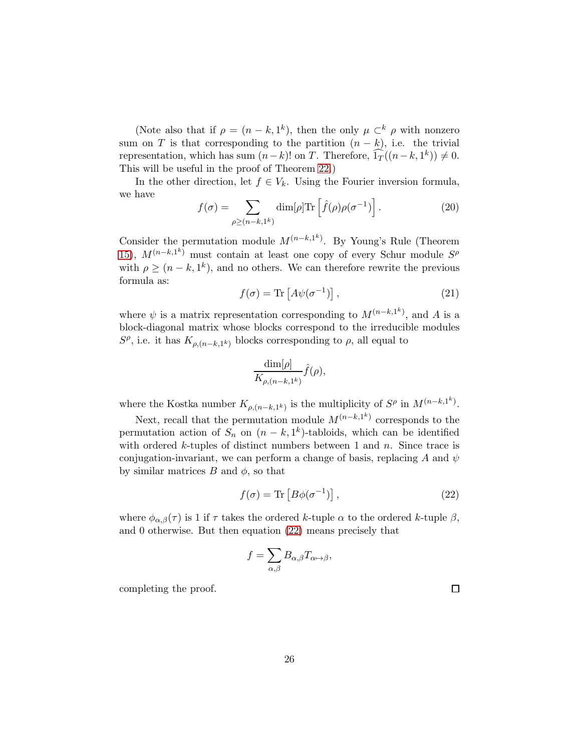(Note also that if  $\rho = (n - k, 1^k)$ , then the only  $\mu \subset^k \rho$  with nonzero sum on T is that corresponding to the partition  $(n - k)$ , i.e. the trivial representation, which has sum  $(n-k)!$  on T. Therefore,  $\widehat{1_T}((n-k, 1^k)) \neq 0$ . This will be useful in the proof of Theorem [22.](#page-31-0))

In the other direction, let  $f \in V_k$ . Using the Fourier inversion formula, we have

$$
f(\sigma) = \sum_{\rho \ge (n-k,1^k)} \dim[\rho] \text{Tr} \left[ \hat{f}(\rho) \rho(\sigma^{-1}) \right]. \tag{20}
$$

Consider the permutation module  $M^{(n-k,1^k)}$ . By Young's Rule (Theorem [15\)](#page-17-0),  $M^{(n-k,1^k)}$  must contain at least one copy of every Schur module  $S^{\rho}$ with  $\rho \ge (n - k, 1^k)$ , and no others. We can therefore rewrite the previous formula as:

$$
f(\sigma) = \text{Tr}\left[A\psi(\sigma^{-1})\right],\tag{21}
$$

where  $\psi$  is a matrix representation corresponding to  $M^{(n-k,1^k)}$ , and A is a block-diagonal matrix whose blocks correspond to the irreducible modules  $S^{\rho}$ , i.e. it has  $K_{\rho,(n-k,1^k)}$  blocks corresponding to  $\rho$ , all equal to

$$
\frac{\dim[\rho]}{K_{\rho,(n-k,1^k)}}\hat{f}(\rho),\,
$$

where the Kostka number  $K_{\rho,(n-k,1^k)}$  is the multiplicity of  $S^{\rho}$  in  $M^{(n-k,1^k)}$ .

Next, recall that the permutation module  $M^{(n-k,1^k)}$  corresponds to the permutation action of  $S_n$  on  $(n - k, 1<sup>k</sup>)$ -tabloids, which can be identified with ordered  $k$ -tuples of distinct numbers between 1 and  $n$ . Since trace is conjugation-invariant, we can perform a change of basis, replacing A and  $\psi$ by similar matrices  $B$  and  $\phi$ , so that

<span id="page-25-0"></span>
$$
f(\sigma) = \text{Tr}\left[B\phi(\sigma^{-1})\right],\tag{22}
$$

where  $\phi_{\alpha,\beta}(\tau)$  is 1 if  $\tau$  takes the ordered k-tuple  $\alpha$  to the ordered k-tuple  $\beta$ , and 0 otherwise. But then equation [\(22\)](#page-25-0) means precisely that

$$
f=\sum_{\alpha,\beta}B_{\alpha,\beta}T_{\alpha\mapsto\beta},
$$

completing the proof.

 $\Box$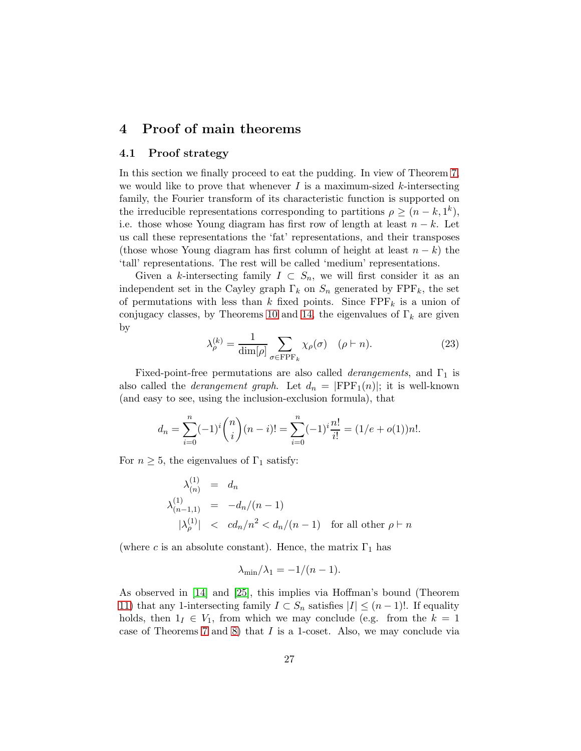# <span id="page-26-0"></span>4 Proof of main theorems

## 4.1 Proof strategy

In this section we finally proceed to eat the pudding. In view of Theorem [7,](#page-5-1) we would like to prove that whenever  $I$  is a maximum-sized k-intersecting family, the Fourier transform of its characteristic function is supported on the irreducible representations corresponding to partitions  $\rho \ge (n - k, 1^k)$ , i.e. those whose Young diagram has first row of length at least  $n - k$ . Let us call these representations the 'fat' representations, and their transposes (those whose Young diagram has first column of height at least  $n - k$ ) the 'tall' representations. The rest will be called 'medium' representations.

Given a k-intersecting family  $I \subset S_n$ , we will first consider it as an independent set in the Cayley graph  $\Gamma_k$  on  $S_n$  generated by  $\text{FPF}_k$ , the set of permutations with less than k fixed points. Since  $\text{FPF}_k$  is a union of conjugacy classes, by Theorems [10](#page-10-1) and [14,](#page-16-0) the eigenvalues of  $\Gamma_k$  are given by

$$
\lambda_{\rho}^{(k)} = \frac{1}{\dim[\rho]} \sum_{\sigma \in \text{FPF}_k} \chi_{\rho}(\sigma) \quad (\rho \vdash n). \tag{23}
$$

Fixed-point-free permutations are also called *derangements*, and  $\Gamma_1$  is also called the *derangement graph*. Let  $d_n = |FPF_1(n)|$ ; it is well-known (and easy to see, using the inclusion-exclusion formula), that

$$
d_n = \sum_{i=0}^n (-1)^i \binom{n}{i} (n-i)! = \sum_{i=0}^n (-1)^i \frac{n!}{i!} = (1/e + o(1))n!.
$$

For  $n \geq 5$ , the eigenvalues of  $\Gamma_1$  satisfy:

$$
\lambda_{(n)}^{(1)} = d_n
$$
  
\n
$$
\lambda_{(n-1,1)}^{(1)} = -d_n/(n-1)
$$
  
\n
$$
|\lambda_{\rho}^{(1)}| < cd_n/n^2 < d_n/(n-1) \text{ for all other } \rho \vdash n
$$

(where c is an absolute constant). Hence, the matrix  $\Gamma_1$  has

$$
\lambda_{\min}/\lambda_1 = -1/(n-1).
$$

As observed in [\[14\]](#page-45-5) and [\[25\]](#page-46-0), this implies via Hoffman's bound (Theorem [11\)](#page-11-0) that any 1-intersecting family  $I \subset S_n$  satisfies  $|I| \leq (n-1)!$ . If equality holds, then  $1_I \in V_1$ , from which we may conclude (e.g. from the  $k = 1$ case of Theorems [7](#page-5-1) and [8\)](#page-5-2) that  $I$  is a 1-coset. Also, we may conclude via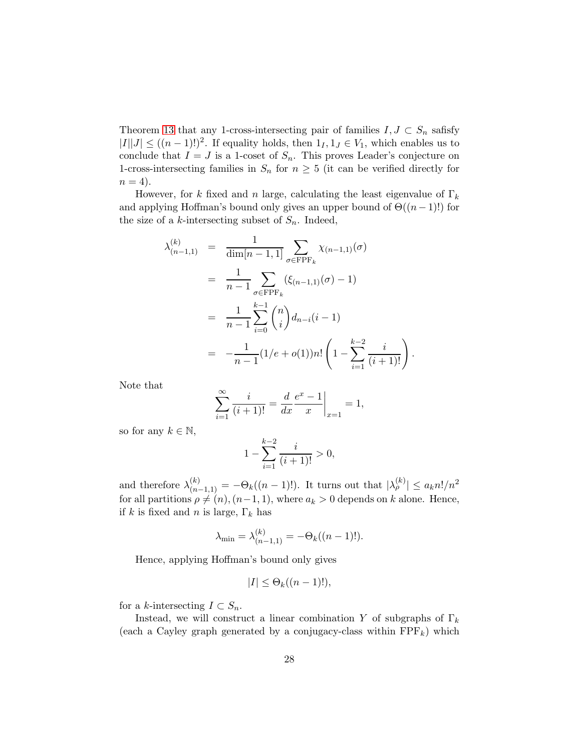Theorem [13](#page-13-0) that any 1-cross-intersecting pair of families  $I,J\subset S_n$  safisfy  $|I||J| \le ((n-1)!)^2$ . If equality holds, then  $1_I, 1_J \in V_1$ , which enables us to conclude that  $I = J$  is a 1-coset of  $S_n$ . This proves Leader's conjecture on 1-cross-intersecting families in  $S_n$  for  $n \geq 5$  (it can be verified directly for  $n = 4$ .

However, for k fixed and n large, calculating the least eigenvalue of  $\Gamma_k$ and applying Hoffman's bound only gives an upper bound of  $\Theta((n-1)!)$  for the size of a k-intersecting subset of  $S_n$ . Indeed,

$$
\lambda_{(n-1,1)}^{(k)} = \frac{1}{\dim[n-1,1]} \sum_{\sigma \in \text{FPF}_k} \chi_{(n-1,1)}(\sigma)
$$
  
= 
$$
\frac{1}{n-1} \sum_{\sigma \in \text{FPF}_k} (\xi_{(n-1,1)}(\sigma) - 1)
$$
  
= 
$$
\frac{1}{n-1} \sum_{i=0}^{k-1} {n \choose i} d_{n-i}(i-1)
$$
  
= 
$$
-\frac{1}{n-1} (1/e + o(1))n! \left(1 - \sum_{i=1}^{k-2} \frac{i}{(i+1)!}\right).
$$

Note that

$$
\sum_{i=1}^{\infty} \frac{i}{(i+1)!} = \frac{d}{dx} \frac{e^x - 1}{x} \bigg|_{x=1} = 1,
$$

so for any  $k \in \mathbb{N}$ ,

λ

$$
1 - \sum_{i=1}^{k-2} \frac{i}{(i+1)!} > 0,
$$

and therefore  $\lambda_{(n-1,1)}^{(k)} = -\Theta_k((n-1)!)$ . It turns out that  $|\lambda_{\rho}^{(k)}| \le a_k n!/n^2$ for all partitions  $\rho \neq (n), (n-1, 1)$ , where  $a_k > 0$  depends on k alone. Hence, if k is fixed and n is large,  $\Gamma_k$  has

$$
\lambda_{\min} = \lambda_{(n-1,1)}^{(k)} = -\Theta_k((n-1)!).
$$

Hence, applying Hoffman's bound only gives

$$
|I| \leq \Theta_k((n-1)!),
$$

for a k-intersecting  $I \subset S_n$ .

Instead, we will construct a linear combination Y of subgraphs of  $\Gamma_k$ (each a Cayley graph generated by a conjugacy-class within  $\text{FPF}_k$ ) which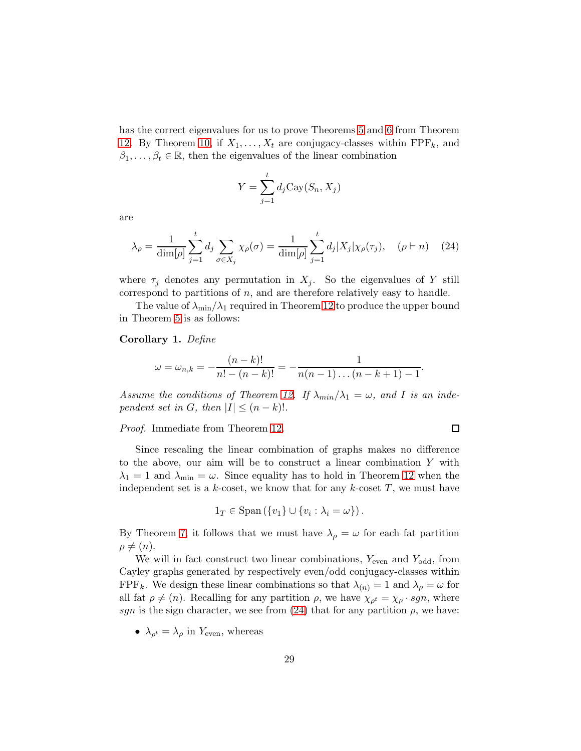has the correct eigenvalues for us to prove Theorems [5](#page-5-3) and [6](#page-5-4) from Theorem [12.](#page-12-0) By Theorem [10,](#page-10-1) if  $X_1, \ldots, X_t$  are conjugacy-classes within FPF<sub>k</sub>, and  $\beta_1, \ldots, \beta_t \in \mathbb{R}$ , then the eigenvalues of the linear combination

$$
Y = \sum_{j=1}^{t} d_j \text{Cay}(S_n, X_j)
$$

are

<span id="page-28-0"></span>
$$
\lambda_{\rho} = \frac{1}{\dim[\rho]} \sum_{j=1}^{t} d_j \sum_{\sigma \in X_j} \chi_{\rho}(\sigma) = \frac{1}{\dim[\rho]} \sum_{j=1}^{t} d_j |X_j| \chi_{\rho}(\tau_j), \quad (\rho \vdash n) \quad (24)
$$

where  $\tau_j$  denotes any permutation in  $X_j$ . So the eigenvalues of Y still correspond to partitions of  $n$ , and are therefore relatively easy to handle.

The value of  $\lambda_{\min}/\lambda_1$  required in Theorem [12](#page-12-0) to produce the upper bound in Theorem [5](#page-5-3) is as follows:

#### <span id="page-28-1"></span>Corollary 1. Define

$$
\omega = \omega_{n,k} = -\frac{(n-k)!}{n! - (n-k)!} = -\frac{1}{n(n-1)\dots(n-k+1)-1}
$$

.

 $\Box$ 

Assume the conditions of Theorem [12.](#page-12-0) If  $\lambda_{min}/\lambda_1 = \omega$ , and I is an independent set in G, then  $|I| \leq (n-k)!$ .

Proof. Immediate from Theorem [12.](#page-12-0)

Since rescaling the linear combination of graphs makes no difference to the above, our aim will be to construct a linear combination Y with  $\lambda_1 = 1$  and  $\lambda_{\min} = \omega$ . Since equality has to hold in Theorem [12](#page-12-0) when the independent set is a  $k$ -coset, we know that for any  $k$ -coset  $T$ , we must have

$$
1_T \in \mathrm{Span}\left(\{v_1\} \cup \{v_i : \lambda_i = \omega\}\right).
$$

By Theorem [7,](#page-5-1) it follows that we must have  $\lambda_{\rho} = \omega$  for each fat partition  $\rho \neq (n).$ 

We will in fact construct two linear combinations,  $Y_{\text{even}}$  and  $Y_{\text{odd}}$ , from Cayley graphs generated by respectively even/odd conjugacy-classes within FPF<sub>k</sub>. We design these linear combinations so that  $\lambda_{(n)} = 1$  and  $\lambda_{\rho} = \omega$  for all fat  $\rho \neq (n)$ . Recalling for any partition  $\rho$ , we have  $\chi_{\rho^t} = \chi_{\rho} \cdot sgn$ , where sgn is the sign character, we see from [\(24\)](#page-28-0) that for any partition  $\rho$ , we have:

•  $\lambda_{\rho^t} = \lambda_{\rho}$  in  $Y_{\text{even}}$ , whereas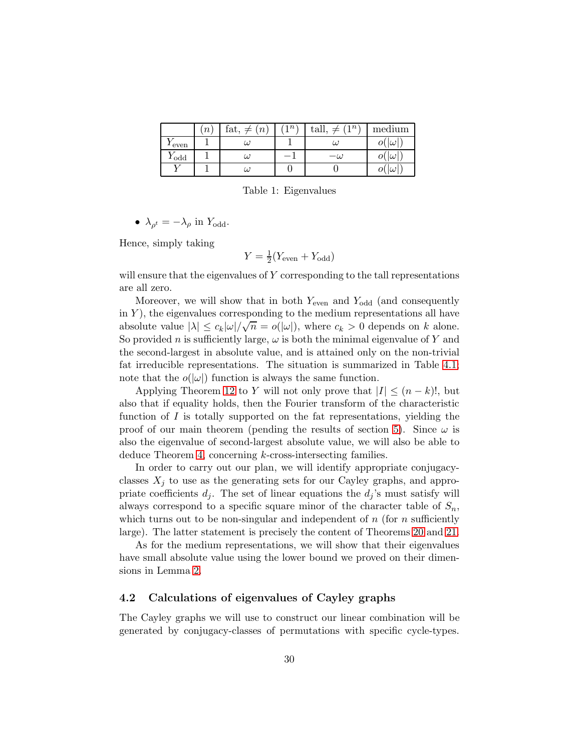|                    | $\boldsymbol{n}$ | fat, $\neq$<br>(n <sub>1</sub> ) | n <sup>1</sup> | $n^{\lambda}$<br>tall, | medium           |
|--------------------|------------------|----------------------------------|----------------|------------------------|------------------|
| $\frac{1}{2}$ even |                  | $\omega$                         |                | $\omega$               | $\omega'$<br>O(  |
| $Y_{\text{odd}}$   |                  | $\omega$                         |                | $-\omega$              | $\omega$ '<br>O( |
|                    |                  | $\omega$                         |                |                        | $\omega$ '<br>O( |

Table 1: Eigenvalues

•  $\lambda_{\rho^t} = -\lambda_{\rho}$  in  $Y_{\text{odd}}$ .

Hence, simply taking

$$
Y = \frac{1}{2}(Y_{\text{even}} + Y_{\text{odd}})
$$

will ensure that the eigenvalues of  $Y$  corresponding to the tall representations are all zero.

Moreover, we will show that in both  $Y_{\text{even}}$  and  $Y_{\text{odd}}$  (and consequently in  $Y$ ), the eigenvalues corresponding to the medium representations all have absolute value  $|\lambda| \leq c_k |\omega| / \sqrt{n} = o(|\omega|)$ , where  $c_k > 0$  depends on k alone. So provided n is sufficiently large,  $\omega$  is both the minimal eigenvalue of Y and the second-largest in absolute value, and is attained only on the non-trivial fat irreducible representations. The situation is summarized in Table [4.1;](#page-28-1) note that the  $o(|\omega|)$  function is always the same function.

Applying Theorem [12](#page-12-0) to Y will not only prove that  $|I| \leq (n-k)!$ , but also that if equality holds, then the Fourier transform of the characteristic function of  $I$  is totally supported on the fat representations, yielding the proof of our main theorem (pending the results of section [5\)](#page-38-0). Since  $\omega$  is also the eigenvalue of second-largest absolute value, we will also be able to deduce Theorem [4,](#page-5-0) concerning k-cross-intersecting families.

In order to carry out our plan, we will identify appropriate conjugacyclasses  $X_j$  to use as the generating sets for our Cayley graphs, and appropriate coefficients  $d_i$ . The set of linear equations the  $d_i$ 's must satisfy will always correspond to a specific square minor of the character table of  $S_n$ , which turns out to be non-singular and independent of  $n$  (for  $n$  sufficiently large). The latter statement is precisely the content of Theorems [20](#page-21-1) and [21.](#page-23-0)

As for the medium representations, we will show that their eigenvalues have small absolute value using the lower bound we proved on their dimensions in Lemma [2.](#page-18-2)

#### 4.2 Calculations of eigenvalues of Cayley graphs

The Cayley graphs we will use to construct our linear combination will be generated by conjugacy-classes of permutations with specific cycle-types.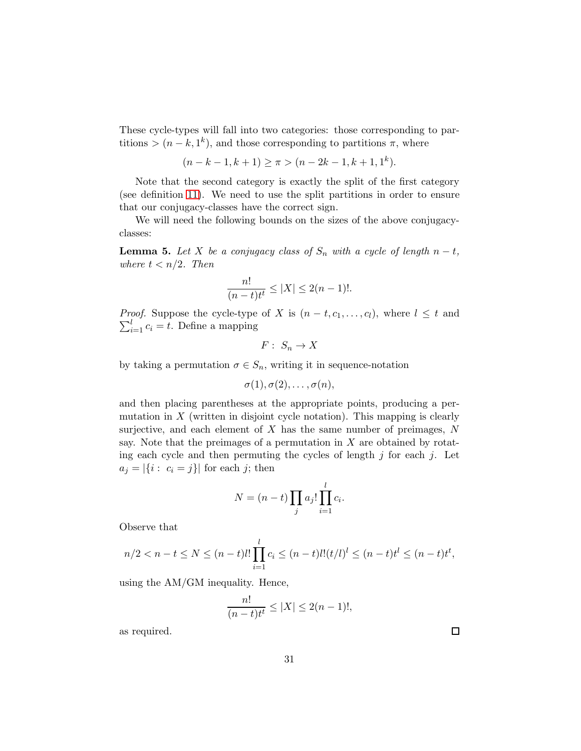These cycle-types will fall into two categories: those corresponding to partitions >  $(n - k, 1<sup>k</sup>)$ , and those corresponding to partitions  $\pi$ , where

$$
(n - k - 1, k + 1) \ge \pi > (n - 2k - 1, k + 1, 1k).
$$

Note that the second category is exactly the split of the first category (see definition [11\)](#page-23-1). We need to use the split partitions in order to ensure that our conjugacy-classes have the correct sign.

We will need the following bounds on the sizes of the above conjugacyclasses:

<span id="page-30-0"></span>**Lemma 5.** Let X be a conjugacy class of  $S_n$  with a cycle of length  $n - t$ , where  $t < n/2$ . Then

$$
\frac{n!}{(n-t)t^{t}} \le |X| \le 2(n-1)!.
$$

*Proof.* Suppose the cycle-type of X is  $(n-t, c_1, \ldots, c_l)$ , where  $l \leq t$  and  $\sum_{i=1}^{l} c_i = t$ . Define a mapping

$$
F: S_n \to X
$$

by taking a permutation  $\sigma \in S_n$ , writing it in sequence-notation

$$
\sigma(1), \sigma(2), \ldots, \sigma(n),
$$

and then placing parentheses at the appropriate points, producing a permutation in  $X$  (written in disjoint cycle notation). This mapping is clearly surjective, and each element of  $X$  has the same number of preimages,  $N$ say. Note that the preimages of a permutation in  $X$  are obtained by rotating each cycle and then permuting the cycles of length  $j$  for each  $j$ . Let  $a_j = |\{i : c_i = j\}|$  for each j; then

$$
N = (n-t) \prod_j a_j! \prod_{i=1}^l c_i.
$$

Observe that

$$
n/2 < n - t \le N \le (n - t)l! \prod_{i=1}^{l} c_i \le (n - t)l!(t/l)^l \le (n - t)t^l \le (n - t)t^t,
$$

using the AM/GM inequality. Hence,

$$
\frac{n!}{(n-t)t^t} \le |X| \le 2(n-1)!,
$$

as required.

 $\Box$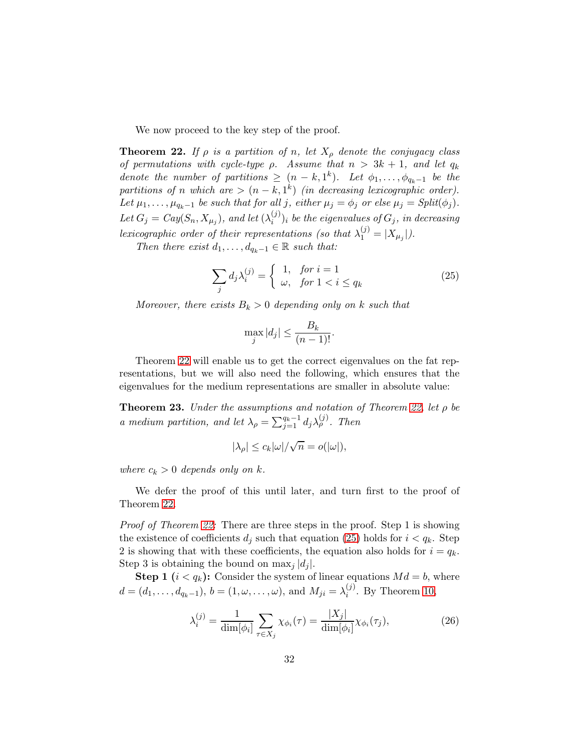We now proceed to the key step of the proof.

<span id="page-31-0"></span>**Theorem 22.** If  $\rho$  is a partition of n, let  $X_{\rho}$  denote the conjugacy class of permutations with cycle-type  $\rho$ . Assume that  $n > 3k + 1$ , and let  $q_k$ denote the number of partitions  $\geq (n-k,1^k)$ . Let  $\phi_1,\ldots,\phi_{q_k-1}$  be the partitions of n which are  $>(n-k,1^k)$  (in decreasing lexicographic order). Let  $\mu_1, \ldots, \mu_{q_k-1}$  be such that for all j, either  $\mu_j = \phi_j$  or else  $\mu_j = Split(\phi_j)$ . Let  $G_j = Cay(S_n, X_{\mu_j}),$  and let  $(\lambda_i^{(j)})$  $\binom{[j]}{i}$  be the eigenvalues of  $G_j$ , in decreasing lexicographic order of their representations (so that  $\lambda_1^{(j)} = |X_{\mu_j}|$ ).

Then there exist  $d_1, \ldots, d_{q_k-1} \in \mathbb{R}$  such that:

<span id="page-31-1"></span>
$$
\sum_{j} d_{j} \lambda_{i}^{(j)} = \begin{cases} 1, & \text{for } i = 1 \\ \omega, & \text{for } 1 < i \le q_{k} \end{cases}
$$
 (25)

Moreover, there exists  $B_k > 0$  depending only on k such that

$$
\max_{j} |d_j| \le \frac{B_k}{(n-1)!}.
$$

Theorem [22](#page-31-0) will enable us to get the correct eigenvalues on the fat representations, but we will also need the following, which ensures that the eigenvalues for the medium representations are smaller in absolute value:

<span id="page-31-2"></span>**Theorem 23.** Under the assumptions and notation of Theorem [22,](#page-31-0) let  $\rho$  be a medium partition, and let  $\lambda_{\rho} = \sum_{j=1}^{q_k-1} d_j \lambda_{\rho}^{(j)}$ . Then

$$
|\lambda_{\rho}|\leq c_k|\omega|/\sqrt{n}=o(|\omega|),
$$

where  $c_k > 0$  depends only on k.

We defer the proof of this until later, and turn first to the proof of Theorem [22.](#page-31-0)

Proof of Theorem [22:](#page-31-0) There are three steps in the proof. Step 1 is showing the existence of coefficients  $d_i$  such that equation [\(25\)](#page-31-1) holds for  $i < q_k$ . Step 2 is showing that with these coefficients, the equation also holds for  $i = q_k$ . Step 3 is obtaining the bound on  $\max_i |d_i|$ .

**Step 1**  $(i < q_k)$ : Consider the system of linear equations  $Md = b$ , where  $d = (d_1, \ldots, d_{q_k-1}), b = (1, \omega, \ldots, \omega), \text{ and } M_{ji} = \lambda_i^{(j)}$  $i^{(j)}$ . By Theorem [10,](#page-10-1)

$$
\lambda_i^{(j)} = \frac{1}{\dim[\phi_i]} \sum_{\tau \in X_j} \chi_{\phi_i}(\tau) = \frac{|X_j|}{\dim[\phi_i]} \chi_{\phi_i}(\tau_j),\tag{26}
$$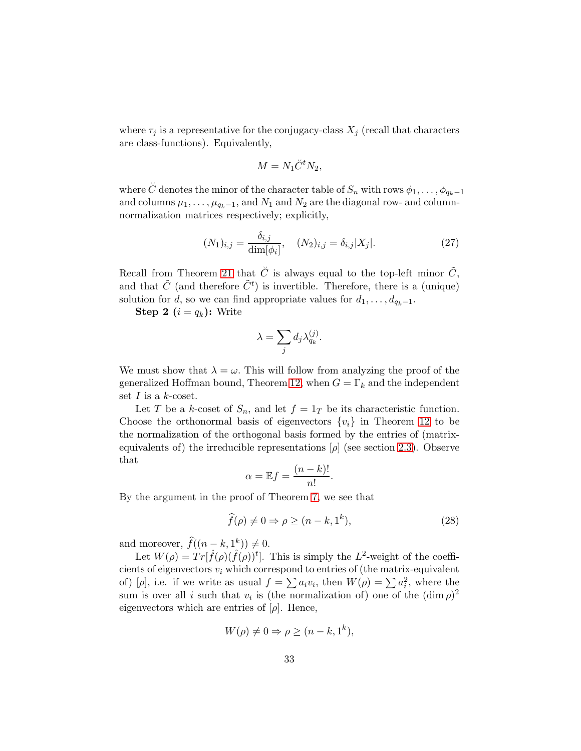where  $\tau_j$  is a representative for the conjugacy-class  $X_j$  (recall that characters are class-functions). Equivalently,

$$
M = N_1 \check{C}^t N_2,
$$

where  $\check{C}$  denotes the minor of the character table of  $S_n$  with rows  $\phi_1, \ldots, \phi_{q_k-1}$ and columns  $\mu_1, \ldots, \mu_{q_k-1}$ , and  $N_1$  and  $N_2$  are the diagonal row- and columnnormalization matrices respectively; explicitly,

$$
(N_1)_{i,j} = \frac{\delta_{i,j}}{\dim[\phi_i]}, \quad (N_2)_{i,j} = \delta_{i,j}|X_j|.
$$
 (27)

Recall from Theorem [21](#page-23-0) that  $\check{C}$  is always equal to the top-left minor  $\tilde{C}$ , and that  $\tilde{C}$  (and therefore  $\tilde{C}^t$ ) is invertible. Therefore, there is a (unique) solution for  $d$ , so we can find appropriate values for  $d_1, \ldots, d_{q_k-1}$ .

**Step 2**  $(i = q_k)$ : Write

$$
\lambda = \sum_j d_j \lambda^{(j)}_{q_k}.
$$

We must show that  $\lambda = \omega$ . This will follow from analyzing the proof of the generalized Hoffman bound, Theorem [12,](#page-12-0) when  $G = \Gamma_k$  and the independent set  $I$  is a  $k$ -coset.

Let T be a k-coset of  $S_n$ , and let  $f = 1_T$  be its characteristic function. Choose the orthonormal basis of eigenvectors  $\{v_i\}$  in Theorem [12](#page-12-0) to be the normalization of the orthogonal basis formed by the entries of (matrixequivalents of) the irreducible representations  $[\rho]$  (see section [2.3\)](#page-9-1). Observe that

$$
\alpha = \mathbb{E}f = \frac{(n-k)!}{n!}.
$$

By the argument in the proof of Theorem [7,](#page-5-1) we see that

$$
\widehat{f}(\rho) \neq 0 \Rightarrow \rho \geq (n - k, 1^k),\tag{28}
$$

and moreover,  $\widehat{f}((n-k, 1^k)) \neq 0$ .

Let  $W(\rho) = Tr[\hat{f}(\rho)(\hat{f}(\rho))^t]$ . This is simply the L<sup>2</sup>-weight of the coefficients of eigenvectors  $v_i$  which correspond to entries of (the matrix-equivalent of) [ $\rho$ ], i.e. if we write as usual  $f = \sum a_i v_i$ , then  $W(\rho) = \sum a_i^2$ , where the sum is over all *i* such that  $v_i$  is (the normalization of) one of the  $(\dim \rho)^2$ eigenvectors which are entries of  $[\rho]$ . Hence,

$$
W(\rho) \neq 0 \Rightarrow \rho \geq (n - k, 1^k),
$$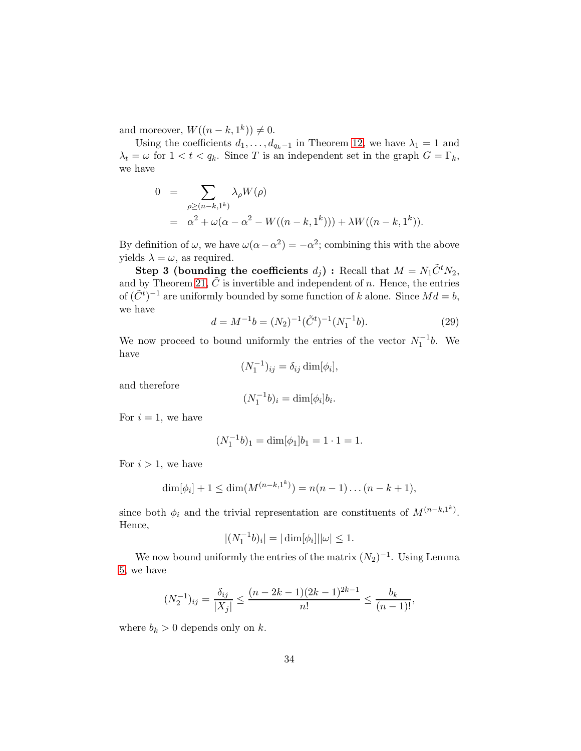and moreover,  $W((n-k, 1^k)) \neq 0$ .

Using the coefficients  $d_1, \ldots, d_{q_k-1}$  in Theorem [12,](#page-12-0) we have  $\lambda_1 = 1$  and  $\lambda_t = \omega$  for  $1 < t < q_k$ . Since T is an independent set in the graph  $G = \Gamma_k$ , we have

$$
0 = \sum_{\rho \ge (n-k,1^k)} \lambda_{\rho} W(\rho)
$$
  
=  $\alpha^2 + \omega(\alpha - \alpha^2 - W((n-k,1^k))) + \lambda W((n-k,1^k)).$ 

By definition of  $\omega$ , we have  $\omega(\alpha - \alpha^2) = -\alpha^2$ ; combining this with the above yields  $\lambda = \omega$ , as required.

**Step 3 (bounding the coefficients**  $d_j$ ) : Recall that  $M = N_1 \tilde{C}^t N_2$ , and by Theorem [21,](#page-23-0)  $\tilde{C}$  is invertible and independent of n. Hence, the entries of  $(\tilde{C}^t)^{-1}$  are uniformly bounded by some function of k alone. Since  $Md = b$ , we have

<span id="page-33-0"></span>
$$
d = M^{-1}b = (N_2)^{-1}(\tilde{C}^t)^{-1}(N_1^{-1}b). \tag{29}
$$

We now proceed to bound uniformly the entries of the vector  $N_1^{-1}b$ . We have

$$
(N_1^{-1})_{ij} = \delta_{ij} \dim[\phi_i],
$$

and therefore

$$
(N_1^{-1}b)_i = \dim[\phi_i]b_i.
$$

For  $i = 1$ , we have

$$
(N_1^{-1}b)_1 = \dim[\phi_1]b_1 = 1 \cdot 1 = 1.
$$

For  $i > 1$ , we have

$$
\dim[\phi_i] + 1 \le \dim(M^{(n-k,1^k)}) = n(n-1)\dots(n-k+1),
$$

since both  $\phi_i$  and the trivial representation are constituents of  $M^{(n-k,1^k)}$ . Hence,

$$
|(N_1^{-1}b)_i| = |\dim[\phi_i]| |\omega| \le 1.
$$

We now bound uniformly the entries of the matrix  $(N_2)^{-1}$ . Using Lemma [5,](#page-30-0) we have

$$
(N_2^{-1})_{ij} = \frac{\delta_{ij}}{|X_j|} \le \frac{(n-2k-1)(2k-1)^{2k-1}}{n!} \le \frac{b_k}{(n-1)!},
$$

where  $b_k > 0$  depends only on k.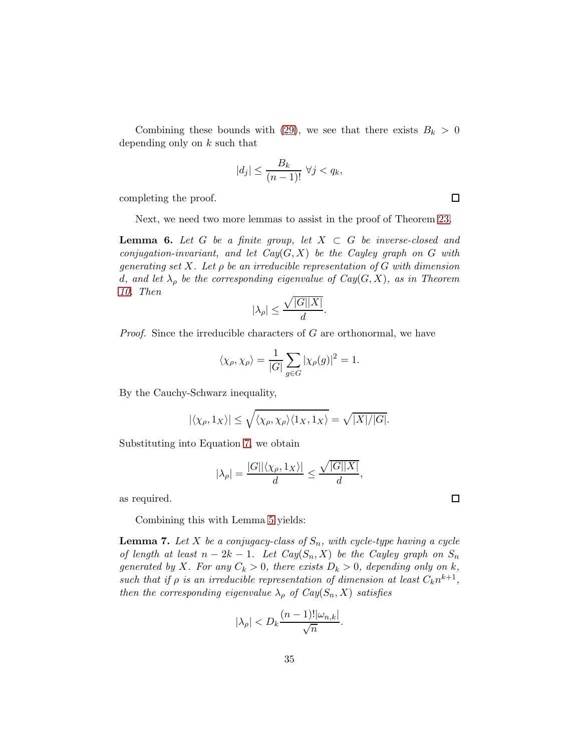Combining these bounds with [\(29\)](#page-33-0), we see that there exists  $B_k > 0$ depending only on  $k$  such that

$$
|d_j| \le \frac{B_k}{(n-1)!} \ \forall j < q_k,
$$

completing the proof.

Next, we need two more lemmas to assist in the proof of Theorem [23.](#page-31-2)

**Lemma 6.** Let G be a finite group, let  $X \subset G$  be inverse-closed and conjugation-invariant, and let  $Cay(G, X)$  be the Cayley graph on G with generating set X. Let  $\rho$  be an irreducible representation of G with dimension d, and let  $\lambda_{\rho}$  be the corresponding eigenvalue of  $Cay(G, X)$ , as in Theorem [10.](#page-10-1) Then

$$
|\lambda_{\rho}|\leq \frac{\sqrt{|G||X|}}{d}.
$$

*Proof.* Since the irreducible characters of  $G$  are orthonormal, we have

$$
\langle \chi_{\rho}, \chi_{\rho} \rangle = \frac{1}{|G|} \sum_{g \in G} |\chi_{\rho}(g)|^2 = 1.
$$

By the Cauchy-Schwarz inequality,

$$
|\langle \chi_{\rho}, 1_X \rangle| \le \sqrt{\langle \chi_{\rho}, \chi_{\rho} \rangle \langle 1_X, 1_X \rangle} = \sqrt{|X|/|G|}.
$$

Substituting into Equation [7,](#page-10-2) we obtain

$$
|\lambda_{\rho}| = \frac{|G||\langle \chi_{\rho}, 1_X \rangle|}{d} \le \frac{\sqrt{|G||X|}}{d},
$$

as required.

Combining this with Lemma [5](#page-30-0) yields:

**Lemma 7.** Let X be a conjugacy-class of  $S_n$ , with cycle-type having a cycle of length at least  $n - 2k - 1$ . Let  $Cay(S_n, X)$  be the Cayley graph on  $S_n$ generated by X. For any  $C_k > 0$ , there exists  $D_k > 0$ , depending only on k, such that if  $\rho$  is an irreducible representation of dimension at least  $C_k n^{k+1}$ , then the corresponding eigenvalue  $\lambda_{\rho}$  of  $Cay(S_n, X)$  satisfies

$$
|\lambda_{\rho}| < D_k \frac{(n-1)! |\omega_{n,k}|}{\sqrt{n}}.
$$

 $\Box$ 

 $\Box$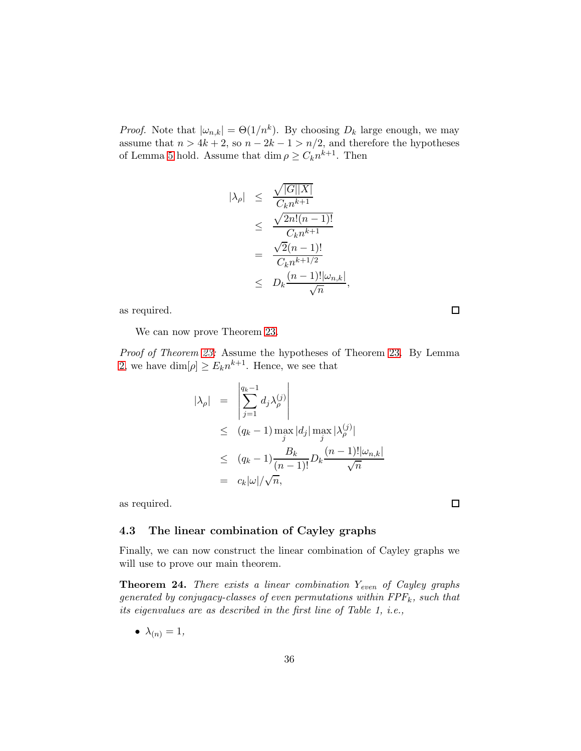*Proof.* Note that  $|\omega_{n,k}| = \Theta(1/n^k)$ . By choosing  $D_k$  large enough, we may assume that  $n > 4k + 2$ , so  $n - 2k - 1 > n/2$ , and therefore the hypotheses of Lemma [5](#page-30-0) hold. Assume that  $\dim \rho \geq C_k n^{k+1}$ . Then

$$
\begin{array}{rcl}\n|\lambda_{\rho}| & \leq & \frac{\sqrt{|G||X|}}{C_k n^{k+1}} \\
& \leq & \frac{\sqrt{2n!(n-1)!}}{C_k n^{k+1}} \\
& = & \frac{\sqrt{2}(n-1)!}{C_k n^{k+1/2}} \\
& \leq & D_k \frac{(n-1)! |\omega_{n,k}|}{\sqrt{n}},\n\end{array}
$$

as required.

We can now prove Theorem [23.](#page-31-2)

Proof of Theorem [23:](#page-31-2) Assume the hypotheses of Theorem [23.](#page-31-2) By Lemma [2,](#page-18-2) we have  $\dim[\rho] \geq E_k n^{k+1}$ . Hence, we see that

$$
|\lambda_{\rho}| = \left| \sum_{j=1}^{q_k - 1} d_j \lambda_{\rho}^{(j)} \right|
$$
  
\n
$$
\leq (q_k - 1) \max_{j} |d_j| \max_{j} |\lambda_{\rho}^{(j)}|
$$
  
\n
$$
\leq (q_k - 1) \frac{B_k}{(n-1)!} D_k \frac{(n-1)! |\omega_{n,k}|}{\sqrt{n}}
$$
  
\n
$$
= c_k |\omega| / \sqrt{n},
$$

as required.

## 4.3 The linear combination of Cayley graphs

Finally, we can now construct the linear combination of Cayley graphs we will use to prove our main theorem.

**Theorem 24.** There exists a linear combination  $Y_{even}$  of Cayley graphs generated by conjugacy-classes of even permutations within  $FPF_k$ , such that its eigenvalues are as described in the first line of Table 1, i.e.,

$$
\bullet \ \lambda_{(n)}=1,
$$

 $\Box$ 

 $\Box$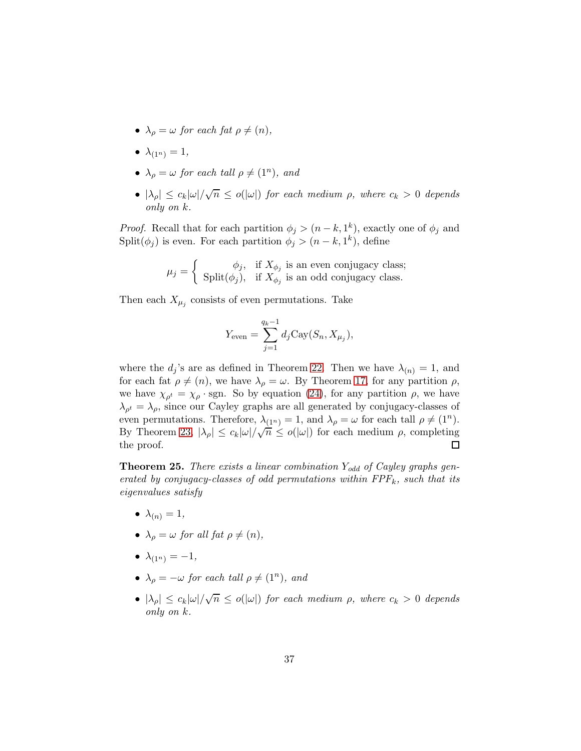- $\lambda_{\rho} = \omega$  for each fat  $\rho \neq (n)$ ,
- $\lambda_{(1^n)} = 1$ ,
- $\lambda_{\rho} = \omega$  for each tall  $\rho \neq (1^n)$ , and
- $|\lambda_{\rho}| \leq c_k |\omega| / \sqrt{n} \leq o(|\omega|)$  for each medium  $\rho$ , where  $c_k > 0$  depends only on k.

*Proof.* Recall that for each partition  $\phi_j > (n - k, 1^k)$ , exactly one of  $\phi_j$  and Split $(\phi_j)$  is even. For each partition  $\phi_j > (n - k, 1^k)$ , define

$$
\mu_j = \left\{ \begin{array}{c} \phi_j, & \text{if } X_{\phi_j} \text{ is an even conjugacy class;} \\ \text{Split}(\phi_j), & \text{if } X_{\phi_j} \text{ is an odd conjugacy class.} \end{array} \right.
$$

Then each  $X_{\mu_j}$  consists of even permutations. Take

$$
Y_{\text{even}} = \sum_{j=1}^{q_k - 1} d_j \text{Cay}(S_n, X_{\mu_j}),
$$

where the  $d_j$ 's are as defined in Theorem [22.](#page-31-0) Then we have  $\lambda_{(n)} = 1$ , and for each fat  $\rho \neq (n)$ , we have  $\lambda_{\rho} = \omega$ . By Theorem [17,](#page-18-3) for any partition  $\rho$ , we have  $\chi_{\rho^t} = \chi_{\rho} \cdot \text{sgn}$ . So by equation [\(24\)](#page-28-0), for any partition  $\rho$ , we have  $\lambda_{\rho^t} = \lambda_{\rho}$ , since our Cayley graphs are all generated by conjugacy-classes of even permutations. Therefore,  $\lambda_{(1^n)} = 1$ , and  $\lambda_{\rho} = \omega$  for each tall  $\rho \neq (1^n)$ . By Theorem [23,](#page-31-2)  $|\lambda_{\rho}| \leq c_k |\omega| / \sqrt{n} \leq o(|\omega|)$  for each medium  $\rho$ , completing the proof.

**Theorem 25.** There exists a linear combination  $Y_{odd}$  of Cayley graphs generated by conjugacy-classes of odd permutations within  $FPF_k$ , such that its eigenvalues satisfy

- $\bullet \lambda_{(n)} = 1,$
- $\lambda_{\rho} = \omega$  for all fat  $\rho \neq (n)$ ,
- $\lambda_{(1^n)} = -1$ ,
- $\lambda_{\rho} = -\omega$  for each tall  $\rho \neq (1^n)$ , and
- $|\lambda_{\rho}| \leq c_k |\omega| / \sqrt{n} \leq o(|\omega|)$  for each medium  $\rho$ , where  $c_k > 0$  depends only on k.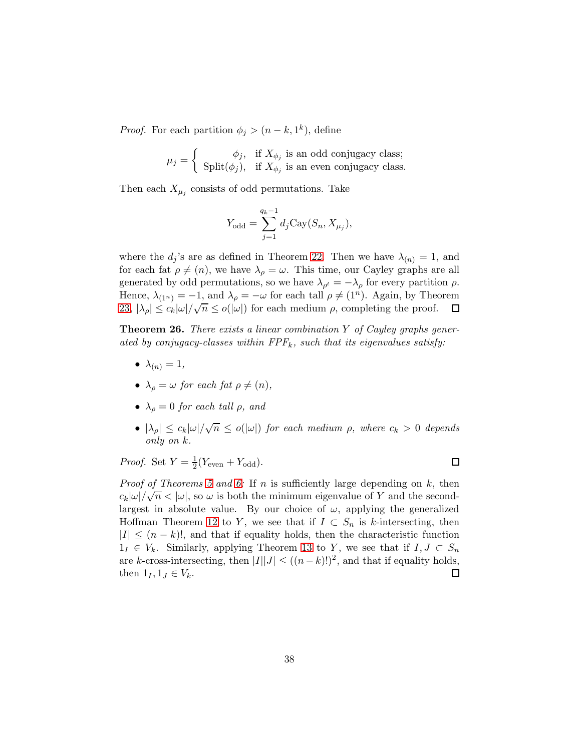*Proof.* For each partition  $\phi_j > (n - k, 1^k)$ , define

$$
\mu_j = \left\{ \begin{array}{c} \phi_j, & \text{if } X_{\phi_j} \text{ is an odd conjugacy class;} \\ \text{Split}(\phi_j), & \text{if } X_{\phi_j} \text{ is an even conjugacy class.} \end{array} \right.
$$

Then each  $X_{\mu_j}$  consists of odd permutations. Take

$$
Y_{\text{odd}} = \sum_{j=1}^{q_k - 1} d_j \text{Cay}(S_n, X_{\mu_j}),
$$

where the  $d_j$ 's are as defined in Theorem [22.](#page-31-0) Then we have  $\lambda_{(n)} = 1$ , and for each fat  $\rho \neq (n)$ , we have  $\lambda_{\rho} = \omega$ . This time, our Cayley graphs are all generated by odd permutations, so we have  $\lambda_{\rho^t} = -\lambda_{\rho}$  for every partition  $\rho$ . Hence,  $\lambda_{(1^n)} = -1$ , and  $\lambda_\rho = -\omega$  for each tall  $\rho \neq (1^n)$ . Again, by Theorem [23,](#page-31-2)  $|\lambda_{\rho}| \leq c_k |\omega| / \sqrt{n} \leq o(|\omega|)$  for each medium  $\rho$ , completing the proof.  $\Box$ 

**Theorem 26.** There exists a linear combination Y of Cayley graphs generated by conjugacy-classes within  $FPF_k$ , such that its eigenvalues satisfy:

- $\lambda_{(n)} = 1$ ,
- $\lambda_{\rho} = \omega$  for each fat  $\rho \neq (n)$ ,
- $\lambda_{\rho} = 0$  for each tall  $\rho$ , and
- $|\lambda_{\rho}| \leq c_k |\omega| / \sqrt{n} \leq o(|\omega|)$  for each medium  $\rho$ , where  $c_k > 0$  depends only on k.

 $\Box$ 

*Proof.* Set  $Y = \frac{1}{2}$  $\frac{1}{2}(Y_{\text{even}}+Y_{\text{odd}}).$ 

*Proof of Theorems [5](#page-5-3) and [6:](#page-5-4)* If n is sufficiently large depending on k, then  $c_k|\omega|/\sqrt{n} < |\omega|$ , so  $\omega$  is both the minimum eigenvalue of Y and the secondlargest in absolute value. By our choice of  $\omega$ , applying the generalized Hoffman Theorem [12](#page-12-0) to Y, we see that if  $I \subset S_n$  is k-intersecting, then  $|I| \leq (n-k)!$ , and that if equality holds, then the characteristic function  $1_I \in V_k$ . Similarly, applying Theorem [13](#page-13-0) to Y, we see that if  $I, J \subset S_n$ are k-cross-intersecting, then  $|I||J| \le ((n-k)!)^2$ , and that if equality holds, then  $1_I, 1_J \in V_k$ .  $\Box$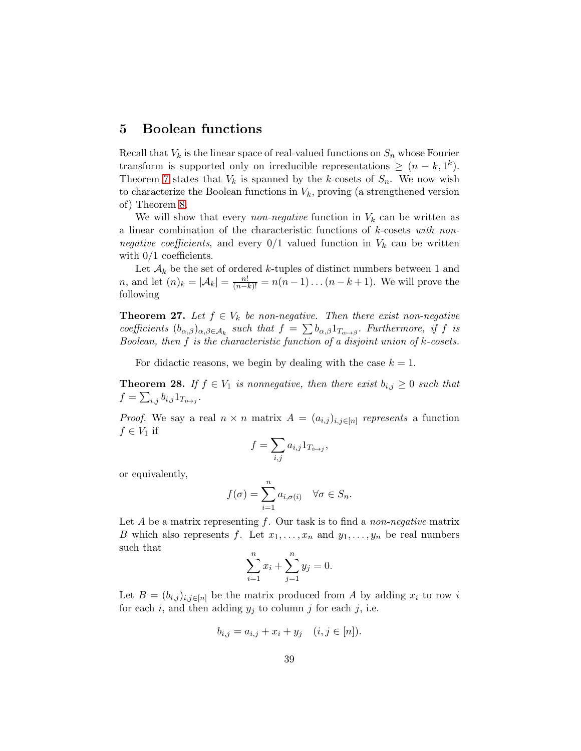# <span id="page-38-0"></span>5 Boolean functions

Recall that  $V_k$  is the linear space of real-valued functions on  $S_n$  whose Fourier transform is supported only on irreducible representations  $\geq (n - k, 1^k)$ . Theorem [7](#page-5-1) states that  $V_k$  is spanned by the k-cosets of  $S_n$ . We now wish to characterize the Boolean functions in  $V_k$ , proving (a strengthened version of) Theorem [8.](#page-5-2)

We will show that every *non-negative* function in  $V_k$  can be written as a linear combination of the characteristic functions of k-cosets with nonnegative coefficients, and every  $0/1$  valued function in  $V_k$  can be written with  $0/1$  coefficients.

Let  $\mathcal{A}_k$  be the set of ordered k-tuples of distinct numbers between 1 and *n*, and let  $(n)_k = |\mathcal{A}_k| = \frac{n!}{(n-k)!} = n(n-1)...(n-k+1)$ . We will prove the following

<span id="page-38-2"></span>**Theorem 27.** Let  $f \in V_k$  be non-negative. Then there exist non-negative coefficients  $(b_{\alpha,\beta})_{\alpha,\beta\in\mathcal{A}_k}$  such that  $f = \sum b_{\alpha,\beta} 1_{T_{\alpha\mapsto\beta}}$ . Furthermore, if f is Boolean, then f is the characteristic function of a disjoint union of k-cosets.

For didactic reasons, we begin by dealing with the case  $k = 1$ .

<span id="page-38-1"></span>**Theorem 28.** If  $f \in V_1$  is nonnegative, then there exist  $b_{i,j} \geq 0$  such that  $f = \sum_{i,j} b_{i,j} 1_{T_{i \mapsto j}}$ .

*Proof.* We say a real  $n \times n$  matrix  $A = (a_{i,j})_{i,j \in [n]}$  represents a function  $f \in V_1$  if

$$
f = \sum_{i,j} a_{i,j} 1_{T_{i \mapsto j}},
$$

or equivalently,

$$
f(\sigma) = \sum_{i=1}^{n} a_{i,\sigma(i)} \quad \forall \sigma \in S_n.
$$

Let  $A$  be a matrix representing  $f$ . Our task is to find a non-negative matrix B which also represents f. Let  $x_1, \ldots, x_n$  and  $y_1, \ldots, y_n$  be real numbers such that

$$
\sum_{i=1}^{n} x_i + \sum_{j=1}^{n} y_j = 0.
$$

Let  $B = (b_{i,j})_{i,j \in [n]}$  be the matrix produced from A by adding  $x_i$  to row i for each i, and then adding  $y_j$  to column j for each j, i.e.

$$
b_{i,j} = a_{i,j} + x_i + y_j \quad (i, j \in [n]).
$$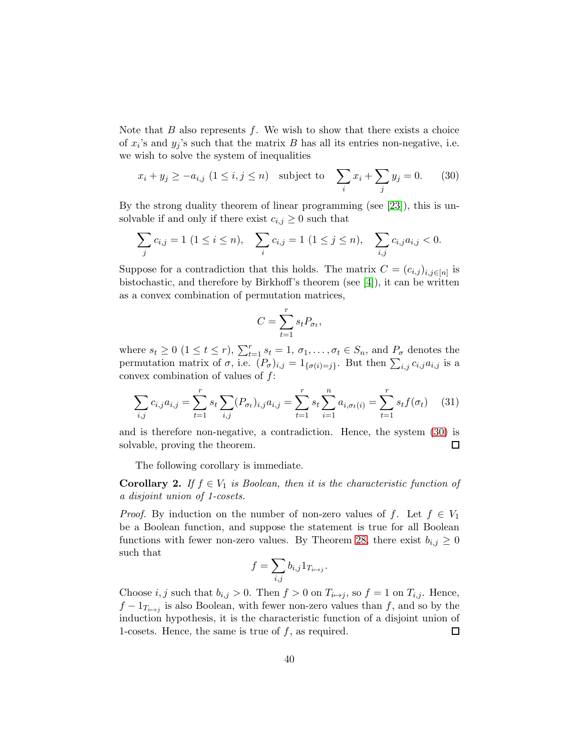Note that  $B$  also represents  $f$ . We wish to show that there exists a choice of  $x_i$ 's and  $y_j$ 's such that the matrix  $B$  has all its entries non-negative, i.e. we wish to solve the system of inequalities

<span id="page-39-0"></span>
$$
x_i + y_j \ge -a_{i,j} \ (1 \le i, j \le n) \quad \text{subject to} \quad \sum_i x_i + \sum_j y_j = 0. \tag{30}
$$

By the strong duality theorem of linear programming (see [\[23\]](#page-45-12)), this is unsolvable if and only if there exist  $c_{i,j} \geq 0$  such that

$$
\sum_{j} c_{i,j} = 1 \ (1 \leq i \leq n), \quad \sum_{i} c_{i,j} = 1 \ (1 \leq j \leq n), \quad \sum_{i,j} c_{i,j} a_{i,j} < 0.
$$

Suppose for a contradiction that this holds. The matrix  $C = (c_{i,j})_{i,j \in [n]}$  is bistochastic, and therefore by Birkhoff's theorem (see [\[4\]](#page-44-8)), it can be written as a convex combination of permutation matrices,

$$
C = \sum_{t=1}^{r} s_t P_{\sigma_t},
$$

where  $s_t \geq 0$   $(1 \leq t \leq r)$ ,  $\sum_{t=1}^r s_t = 1$ ,  $\sigma_1, \ldots, \sigma_t \in S_n$ , and  $P_{\sigma}$  denotes the permutation matrix of  $\sigma$ , i.e.  $(P_{\sigma})_{i,j} = 1_{\{\sigma(i)=j\}}$ . But then  $\sum_{i,j} c_{i,j} a_{i,j}$  is a convex combination of values of  $f$ :

$$
\sum_{i,j} c_{i,j} a_{i,j} = \sum_{t=1}^r s_t \sum_{i,j} (P_{\sigma_t})_{i,j} a_{i,j} = \sum_{t=1}^r s_t \sum_{i=1}^n a_{i,\sigma_t(i)} = \sum_{t=1}^r s_t f(\sigma_t) \quad (31)
$$

and is therefore non-negative, a contradiction. Hence, the system [\(30\)](#page-39-0) is solvable, proving the theorem. □

The following corollary is immediate.

**Corollary 2.** If  $f \in V_1$  is Boolean, then it is the characteristic function of a disjoint union of 1-cosets.

*Proof.* By induction on the number of non-zero values of f. Let  $f \in V_1$ be a Boolean function, and suppose the statement is true for all Boolean functions with fewer non-zero values. By Theorem [28,](#page-38-1) there exist  $b_{i,j} \geq 0$ such that

$$
f = \sum_{i,j} b_{i,j} 1_{T_{i \mapsto j}}.
$$

Choose i, j such that  $b_{i,j} > 0$ . Then  $f > 0$  on  $T_{i \mapsto j}$ , so  $f = 1$  on  $T_{i,j}$ . Hence,  $f - 1_{T_{i \mapsto j}}$  is also Boolean, with fewer non-zero values than f, and so by the induction hypothesis, it is the characteristic function of a disjoint union of 1-cosets. Hence, the same is true of  $f$ , as required.  $\Box$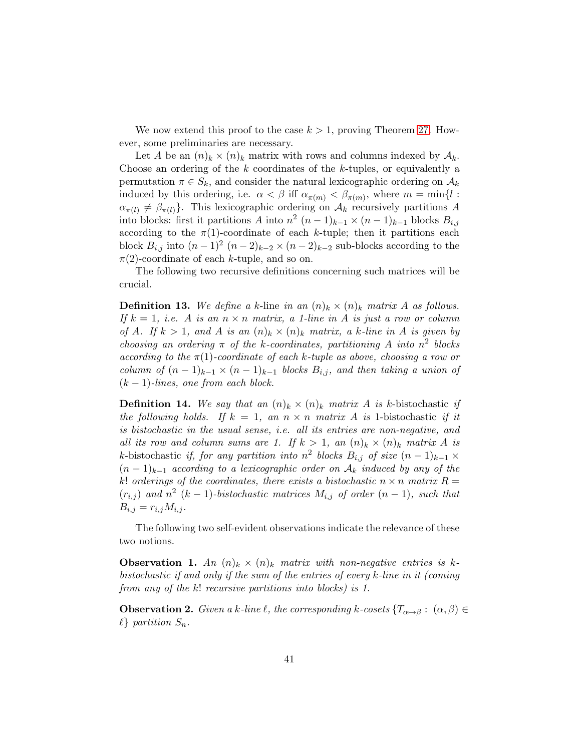We now extend this proof to the case  $k > 1$ , proving Theorem [27.](#page-38-2) However, some preliminaries are necessary.

Let A be an  $(n)_k \times (n)_k$  matrix with rows and columns indexed by  $\mathcal{A}_k$ . Choose an ordering of the  $k$  coordinates of the  $k$ -tuples, or equivalently a permutation  $\pi \in S_k$ , and consider the natural lexicographic ordering on  $\mathcal{A}_k$ induced by this ordering, i.e.  $\alpha < \beta$  iff  $\alpha_{\pi(m)} < \beta_{\pi(m)}$ , where  $m = \min\{l :$  $\alpha_{\pi(l)} \neq \beta_{\pi(l)}$ . This lexicographic ordering on  $\mathcal{A}_k$  recursively partitions A into blocks: first it partitions A into  $n^2$   $(n-1)_{k-1} \times (n-1)_{k-1}$  blocks  $B_{i,j}$ according to the  $\pi(1)$ -coordinate of each k-tuple; then it partitions each block  $B_{i,j}$  into  $(n-1)^2$   $(n-2)_{k-2} \times (n-2)_{k-2}$  sub-blocks according to the  $\pi(2)$ -coordinate of each k-tuple, and so on.

The following two recursive definitions concerning such matrices will be crucial.

**Definition 13.** We define a k-line in an  $(n)_k \times (n)_k$  matrix A as follows. If  $k = 1$ , i.e. A is an  $n \times n$  matrix, a 1-line in A is just a row or column of A. If  $k > 1$ , and A is an  $(n)_k \times (n)_k$  matrix, a k-line in A is given by choosing an ordering  $\pi$  of the k-coordinates, partitioning A into  $n^2$  blocks according to the  $\pi(1)$ -coordinate of each k-tuple as above, choosing a row or column of  $(n-1)_{k-1} \times (n-1)_{k-1}$  blocks  $B_{i,j}$ , and then taking a union of  $(k-1)$ -lines, one from each block.

**Definition 14.** We say that an  $(n)_k \times (n)_k$  matrix A is k-bistochastic if the following holds. If  $k = 1$ , an  $n \times n$  matrix A is 1-bistochastic if it is bistochastic in the usual sense, i.e. all its entries are non-negative, and all its row and column sums are 1. If  $k > 1$ , an  $(n)_k \times (n)_k$  matrix A is k-bistochastic if, for any partition into  $n^2$  blocks  $B_{i,j}$  of size  $(n-1)_{k-1} \times$  $(n-1)_{k-1}$  according to a lexicographic order on  $A_k$  induced by any of the k! orderings of the coordinates, there exists a bistochastic  $n \times n$  matrix  $R =$  $(r_{i,j})$  and  $n^2$   $(k-1)$ -bistochastic matrices  $M_{i,j}$  of order  $(n-1)$ , such that  $B_{i,j} = r_{i,j} M_{i,j}$ .

The following two self-evident observations indicate the relevance of these two notions.

<span id="page-40-1"></span>**Observation 1.** An  $(n)_k \times (n)_k$  matrix with non-negative entries is kbistochastic if and only if the sum of the entries of every k-line in it (coming from any of the k! recursive partitions into blocks) is 1.

<span id="page-40-0"></span>**Observation 2.** Given a k-line  $\ell$ , the corresponding k-cosets  $\{T_{\alpha\mapsto\beta}: (\alpha,\beta)\in$  $\ell$  partition  $S_n$ .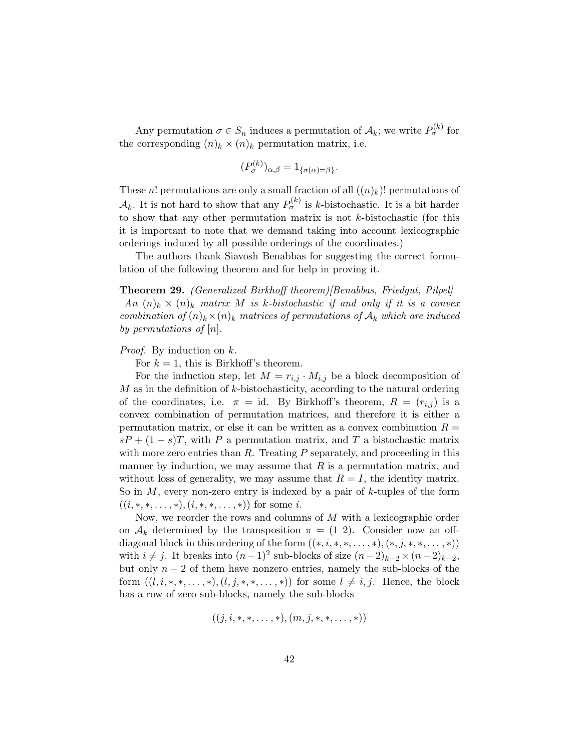Any permutation  $\sigma \in S_n$  induces a permutation of  $\mathcal{A}_k$ ; we write  $P_{\sigma}^{(k)}$  for the corresponding  $(n)_k \times (n)_k$  permutation matrix, i.e.

$$
(P_{\sigma}^{(k)})_{\alpha,\beta} = 1_{\{\sigma(\alpha) = \beta\}}.
$$

These n! permutations are only a small fraction of all  $((n)_k)$ ! permutations of  $\mathcal{A}_k$ . It is not hard to show that any  $P_{\sigma}^{(k)}$  is k-bistochastic. It is a bit harder to show that any other permutation matrix is not  $k$ -bistochastic (for this it is important to note that we demand taking into account lexicographic orderings induced by all possible orderings of the coordinates.)

The authors thank Siavosh Benabbas for suggesting the correct formulation of the following theorem and for help in proving it.

## <span id="page-41-0"></span>Theorem 29. (Generalized Birkhoff theorem)[Benabbas, Friedgut, Pilpel] An  $(n)_k \times (n)_k$  matrix M is k-bistochastic if and only if it is a convex combination of  $(n)_k \times (n)_k$  matrices of permutations of  $A_k$  which are induced by permutations of  $[n]$ .

#### Proof. By induction on k.

For  $k = 1$ , this is Birkhoff's theorem.

For the induction step, let  $M = r_{i,j} \cdot M_{i,j}$  be a block decomposition of  $M$  as in the definition of  $k$ -bistochasticity, according to the natural ordering of the coordinates, i.e.  $\pi = id$ . By Birkhoff's theorem,  $R = (r_{i,j})$  is a convex combination of permutation matrices, and therefore it is either a permutation matrix, or else it can be written as a convex combination  $R =$  $sP + (1 - s)T$ , with P a permutation matrix, and T a bistochastic matrix with more zero entries than  $R$ . Treating  $P$  separately, and proceeding in this manner by induction, we may assume that  $R$  is a permutation matrix, and without loss of generality, we may assume that  $R = I$ , the identity matrix. So in  $M$ , every non-zero entry is indexed by a pair of  $k$ -tuples of the form  $((i, *, *, \ldots, *), (i, *, *, \ldots, *) )$  for some i.

Now, we reorder the rows and columns of  $M$  with a lexicographic order on  $A_k$  determined by the transposition  $\pi = (1\ 2)$ . Consider now an offdiagonal block in this ordering of the form  $((*, i, *, *, \ldots, *,),(*, j, *, *, \ldots, *))$ with  $i \neq j$ . It breaks into  $(n-1)^2$  sub-blocks of size  $(n-2)_{k-2} \times (n-2)_{k-2}$ , but only  $n-2$  of them have nonzero entries, namely the sub-blocks of the form  $((l, i, *, *, \ldots, *,), (l, j, *, *, \ldots, *))$  for some  $l \neq i, j$ . Hence, the block has a row of zero sub-blocks, namely the sub-blocks

$$
((j, i, *, *, \ldots, *), (m, j, *, *, \ldots, *))
$$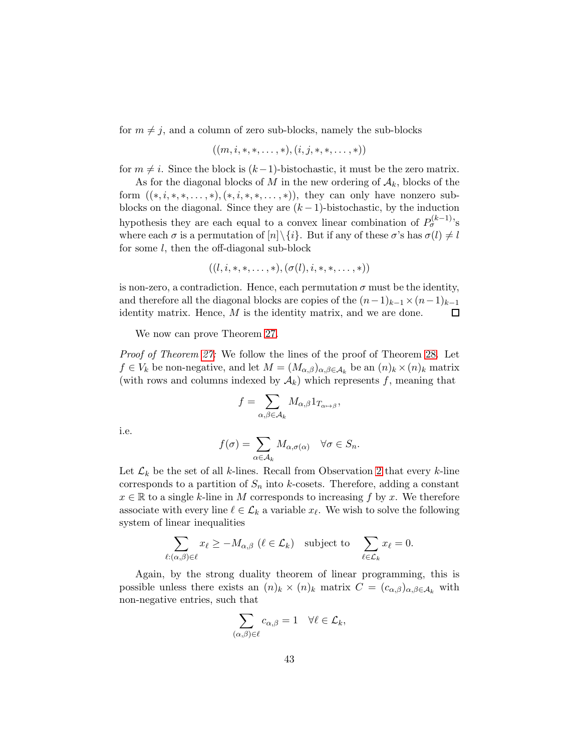for  $m \neq j$ , and a column of zero sub-blocks, namely the sub-blocks

$$
((m,i,*,*,\ldots,*),(i,j,*,*,\ldots,*))
$$

for  $m \neq i$ . Since the block is  $(k-1)$ -bistochastic, it must be the zero matrix.

As for the diagonal blocks of M in the new ordering of  $A_k$ , blocks of the form  $((*, i, *, *, \ldots, *), (*, i, *, *, \ldots, *)),$  they can only have nonzero subblocks on the diagonal. Since they are  $(k-1)$ -bistochastic, by the induction hypothesis they are each equal to a convex linear combination of  $P_{\sigma}^{(k-1)}$ 's where each  $\sigma$  is a permutation of  $[n] \setminus \{i\}$ . But if any of these  $\sigma$ 's has  $\sigma(l) \neq l$ for some l, then the off-diagonal sub-block

$$
((l, i, *, *, \ldots, *), (\sigma(l), i, *, *, \ldots, *))
$$

is non-zero, a contradiction. Hence, each permutation  $\sigma$  must be the identity, and therefore all the diagonal blocks are copies of the  $(n-1)_{k-1} \times (n-1)_{k-1}$ <br>identity matrix. Hence, M is the identity matrix, and we are done.  $\Box$ identity matrix. Hence, M is the identity matrix, and we are done.

We now can prove Theorem [27.](#page-38-2)

Proof of Theorem [27:](#page-38-2) We follow the lines of the proof of Theorem [28.](#page-38-1) Let  $f \in V_k$  be non-negative, and let  $M = (M_{\alpha,\beta})_{\alpha,\beta \in A_k}$  be an  $(n)_k \times (n)_k$  matrix (with rows and columns indexed by  $A_k$ ) which represents f, meaning that

$$
f=\sum_{\alpha,\beta\in\mathcal{A}_k}M_{\alpha,\beta}1_{T_{\alpha\mapsto\beta}},
$$

i.e.

$$
f(\sigma) = \sum_{\alpha \in \mathcal{A}_k} M_{\alpha, \sigma(\alpha)} \quad \forall \sigma \in S_n.
$$

Let  $\mathcal{L}_k$  be the set of all k-lines. Recall from Observation [2](#page-40-0) that every k-line corresponds to a partition of  $S_n$  into k-cosets. Therefore, adding a constant  $x \in \mathbb{R}$  to a single k-line in M corresponds to increasing f by x. We therefore associate with every line  $\ell \in \mathcal{L}_k$  a variable  $x_{\ell}$ . We wish to solve the following system of linear inequalities

$$
\sum_{\ell: (\alpha,\beta)\in \ell} x_\ell \ge -M_{\alpha,\beta} \ (\ell \in \mathcal{L}_k) \quad \text{subject to} \quad \sum_{\ell\in \mathcal{L}_k} x_\ell = 0.
$$

Again, by the strong duality theorem of linear programming, this is possible unless there exists an  $(n)_k \times (n)_k$  matrix  $C = (c_{\alpha,\beta})_{\alpha,\beta \in \mathcal{A}_k}$  with non-negative entries, such that

$$
\sum_{(\alpha,\beta)\in\ell}c_{\alpha,\beta}=1\quad\forall\ell\in\mathcal{L}_k,
$$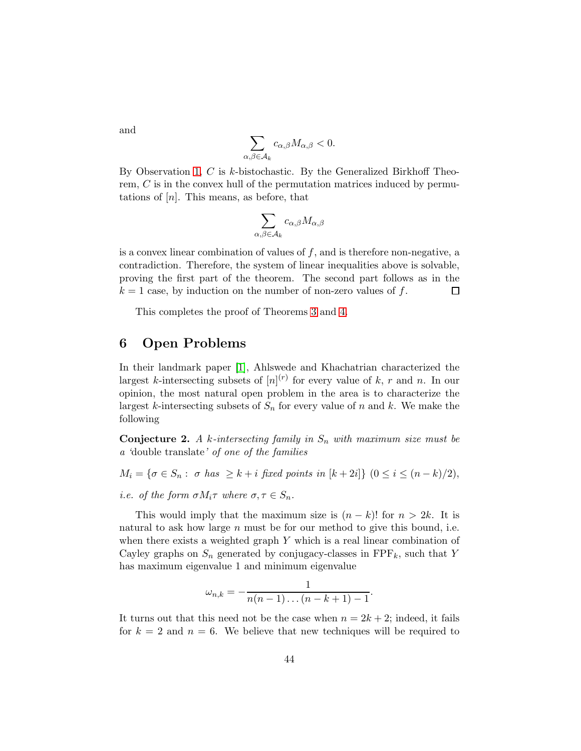$$
\sum_{\alpha,\beta\in\mathcal{A}_k}c_{\alpha,\beta}M_{\alpha,\beta}<0.
$$

By Observation [1,](#page-40-1)  $C$  is  $k$ -bistochastic. By the Generalized Birkhoff Theorem, C is in the convex hull of the permutation matrices induced by permutations of  $[n]$ . This means, as before, that

$$
\sum_{\alpha,\beta\in\mathcal{A}_k}c_{\alpha,\beta}M_{\alpha,\beta}
$$

is a convex linear combination of values of  $f$ , and is therefore non-negative, a contradiction. Therefore, the system of linear inequalities above is solvable, proving the first part of the theorem. The second part follows as in the  $k = 1$  case, by induction on the number of non-zero values of f.  $\Box$ 

This completes the proof of Theorems [3](#page-4-0) and [4.](#page-5-0)

# 6 Open Problems

In their landmark paper [\[1\]](#page-44-9), Ahlswede and Khachatrian characterized the largest k-intersecting subsets of  $[n]^{(r)}$  for every value of k, r and n. In our opinion, the most natural open problem in the area is to characterize the largest k-intersecting subsets of  $S_n$  for every value of n and k. We make the following

<span id="page-43-0"></span>**Conjecture 2.** A k-intersecting family in  $S_n$  with maximum size must be a 'double translate' of one of the families

- $M_i = \{ \sigma \in S_n : \sigma \text{ has } \geq k+i \text{ fixed points in } [k+2i] \}$   $(0 \leq i \leq (n-k)/2),$
- i.e. of the form  $\sigma M_i \tau$  where  $\sigma, \tau \in S_n$ .

This would imply that the maximum size is  $(n - k)!$  for  $n > 2k$ . It is natural to ask how large  $n$  must be for our method to give this bound, i.e. when there exists a weighted graph  $Y$  which is a real linear combination of Cayley graphs on  $S_n$  generated by conjugacy-classes in  $\text{FPF}_k$ , such that Y has maximum eigenvalue 1 and minimum eigenvalue

$$
\omega_{n,k}=-\frac{1}{n(n-1)\dots(n-k+1)-1}.
$$

It turns out that this need not be the case when  $n = 2k + 2$ ; indeed, it fails for  $k = 2$  and  $n = 6$ . We believe that new techniques will be required to

and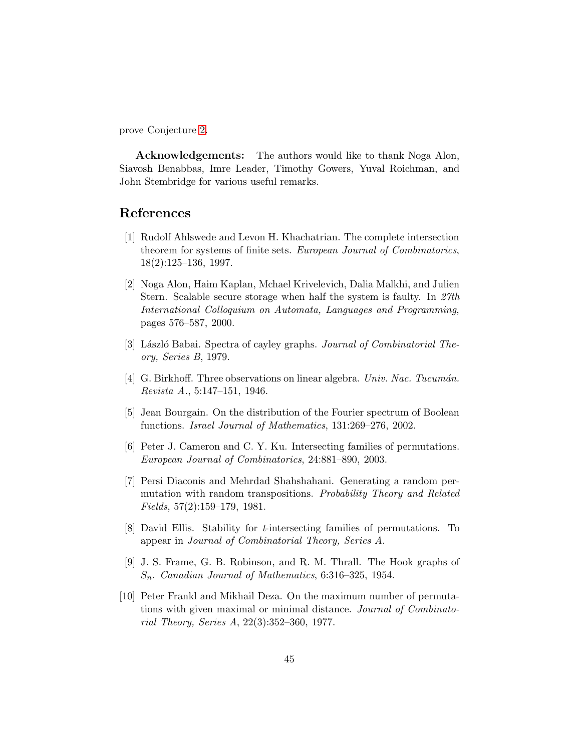prove Conjecture [2.](#page-43-0)

Acknowledgements: The authors would like to thank Noga Alon, Siavosh Benabbas, Imre Leader, Timothy Gowers, Yuval Roichman, and John Stembridge for various useful remarks.

# <span id="page-44-9"></span>References

- [1] Rudolf Ahlswede and Levon H. Khachatrian. The complete intersection theorem for systems of finite sets. European Journal of Combinatorics, 18(2):125–136, 1997.
- <span id="page-44-5"></span>[2] Noga Alon, Haim Kaplan, Mchael Krivelevich, Dalia Malkhi, and Julien Stern. Scalable secure storage when half the system is faulty. In 27th International Colloquium on Automata, Languages and Programming, pages 576–587, 2000.
- <span id="page-44-8"></span><span id="page-44-3"></span>[3] László Babai. Spectra of cayley graphs. *Journal of Combinatorial The*ory, Series B, 1979.
- <span id="page-44-7"></span>[4] G. Birkhoff. Three observations on linear algebra. Univ. Nac. Tucumán. Revista A., 5:147–151, 1946.
- <span id="page-44-1"></span>[5] Jean Bourgain. On the distribution of the Fourier spectrum of Boolean functions. Israel Journal of Mathematics, 131:269–276, 2002.
- <span id="page-44-4"></span>[6] Peter J. Cameron and C. Y. Ku. Intersecting families of permutations. European Journal of Combinatorics, 24:881–890, 2003.
- [7] Persi Diaconis and Mehrdad Shahshahani. Generating a random permutation with random transpositions. Probability Theory and Related Fields, 57(2):159–179, 1981.
- <span id="page-44-2"></span>[8] David Ellis. Stability for t-intersecting families of permutations. To appear in Journal of Combinatorial Theory, Series A.
- <span id="page-44-6"></span>[9] J. S. Frame, G. B. Robinson, and R. M. Thrall. The Hook graphs of  $S_n$ . Canadian Journal of Mathematics, 6:316–325, 1954.
- <span id="page-44-0"></span>[10] Peter Frankl and Mikhail Deza. On the maximum number of permutations with given maximal or minimal distance. Journal of Combinatorial Theory, Series A, 22(3):352–360, 1977.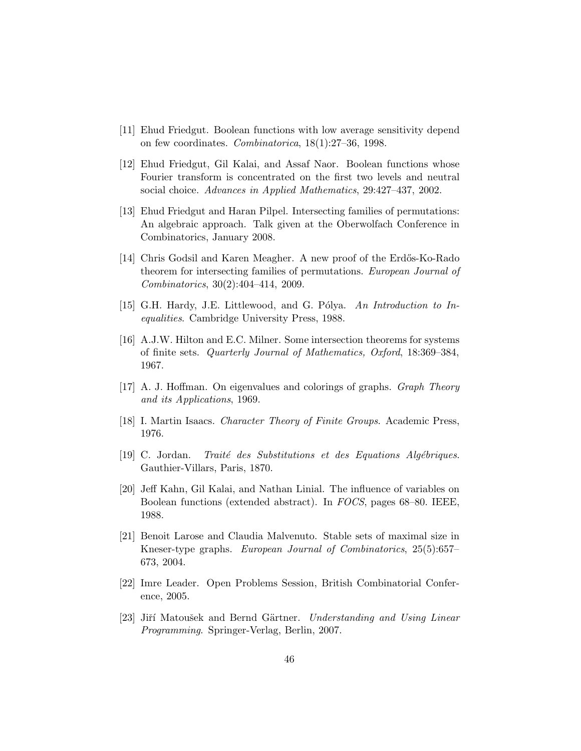- <span id="page-45-11"></span><span id="page-45-10"></span>[11] Ehud Friedgut. Boolean functions with low average sensitivity depend on few coordinates. Combinatorica, 18(1):27–36, 1998.
- [12] Ehud Friedgut, Gil Kalai, and Assaf Naor. Boolean functions whose Fourier transform is concentrated on the first two levels and neutral social choice. Advances in Applied Mathematics, 29:427–437, 2002.
- <span id="page-45-4"></span>[13] Ehud Friedgut and Haran Pilpel. Intersecting families of permutations: An algebraic approach. Talk given at the Oberwolfach Conference in Combinatorics, January 2008.
- <span id="page-45-5"></span>[14] Chris Godsil and Karen Meagher. A new proof of the Erdős-Ko-Rado theorem for intersecting families of permutations. European Journal of Combinatorics, 30(2):404–414, 2009.
- <span id="page-45-9"></span><span id="page-45-2"></span>[15] G.H. Hardy, J.E. Littlewood, and G. Pólya. An Introduction to Inequalities. Cambridge University Press, 1988.
- [16] A.J.W. Hilton and E.C. Milner. Some intersection theorems for systems of finite sets. Quarterly Journal of Mathematics, Oxford, 18:369–384, 1967.
- <span id="page-45-8"></span><span id="page-45-7"></span>[17] A. J. Hoffman. On eigenvalues and colorings of graphs. *Graph Theory* and its Applications, 1969.
- <span id="page-45-3"></span>[18] I. Martin Isaacs. Character Theory of Finite Groups. Academic Press, 1976.
- <span id="page-45-0"></span> $[19]$  C. Jordan. Traité des Substitutions et des Equations Algébriques. Gauthier-Villars, Paris, 1870.
- [20] Jeff Kahn, Gil Kalai, and Nathan Linial. The influence of variables on Boolean functions (extended abstract). In FOCS, pages 68–80. IEEE, 1988.
- <span id="page-45-1"></span>[21] Benoit Larose and Claudia Malvenuto. Stable sets of maximal size in Kneser-type graphs. European Journal of Combinatorics, 25(5):657– 673, 2004.
- <span id="page-45-12"></span><span id="page-45-6"></span>[22] Imre Leader. Open Problems Session, British Combinatorial Conference, 2005.
- [23] Jiří Matoušek and Bernd Gärtner. Understanding and Using Linear Programming. Springer-Verlag, Berlin, 2007.